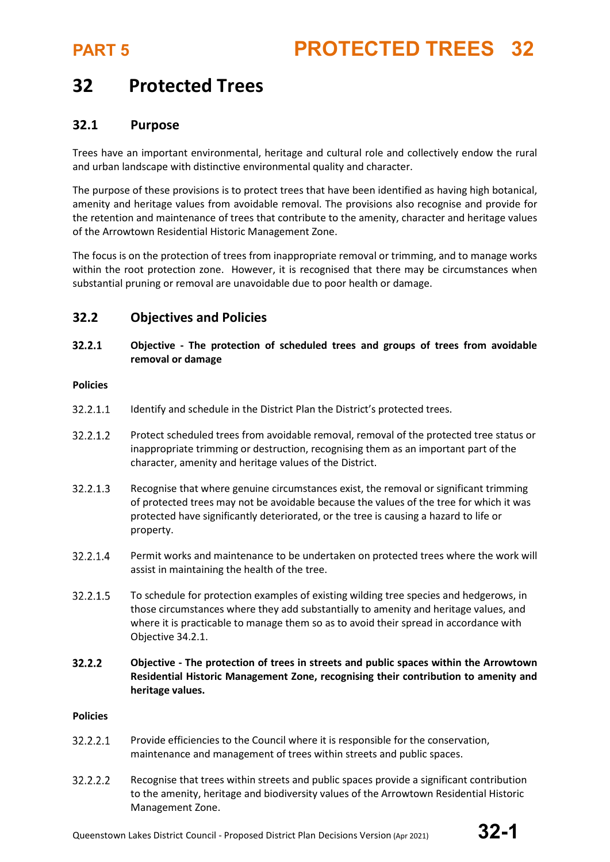### **32 Protected Trees**

### **32.1 Purpose**

Trees have an important environmental, heritage and cultural role and collectively endow the rural and urban landscape with distinctive environmental quality and character.

The purpose of these provisions is to protect trees that have been identified as having high botanical, amenity and heritage values from avoidable removal. The provisions also recognise and provide for the retention and maintenance of trees that contribute to the amenity, character and heritage values of the Arrowtown Residential Historic Management Zone.

The focus is on the protection of trees from inappropriate removal or trimming, and to manage works within the root protection zone. However, it is recognised that there may be circumstances when substantial pruning or removal are unavoidable due to poor health or damage.

### **32.2 Objectives and Policies**

### $32.2.1$ **Objective - The protection of scheduled trees and groups of trees from avoidable removal or damage**

### **Policies**

- 32.2.1.1 Identify and schedule in the District Plan the District's protected trees.
- 32.2.1.2 Protect scheduled trees from avoidable removal, removal of the protected tree status or inappropriate trimming or destruction, recognising them as an important part of the character, amenity and heritage values of the District.
- 32.2.1.3 Recognise that where genuine circumstances exist, the removal or significant trimming of protected trees may not be avoidable because the values of the tree for which it was protected have significantly deteriorated, or the tree is causing a hazard to life or property.
- 32.2.1.4 Permit works and maintenance to be undertaken on protected trees where the work will assist in maintaining the health of the tree.
- 32.2.1.5 To schedule for protection examples of existing wilding tree species and hedgerows, in those circumstances where they add substantially to amenity and heritage values, and where it is practicable to manage them so as to avoid their spread in accordance with Objective 34.2.1.
- 32.2.2 **Objective - The protection of trees in streets and public spaces within the Arrowtown Residential Historic Management Zone, recognising their contribution to amenity and heritage values.**

### **Policies**

- 32.2.2.1 Provide efficiencies to the Council where it is responsible for the conservation, maintenance and management of trees within streets and public spaces.
- 32.2.2.2 Recognise that trees within streets and public spaces provide a significant contribution to the amenity, heritage and biodiversity values of the Arrowtown Residential Historic Management Zone.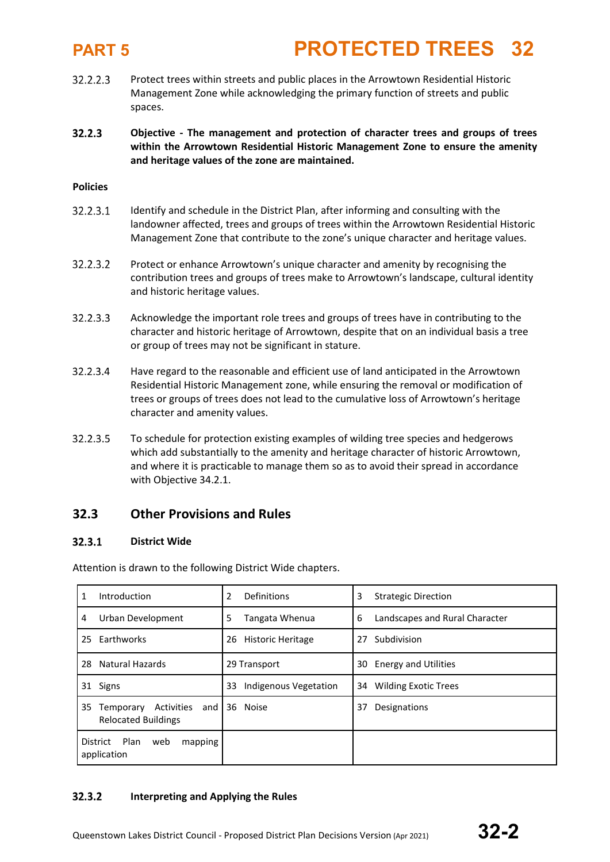- 32.2.2.3 Protect trees within streets and public places in the Arrowtown Residential Historic Management Zone while acknowledging the primary function of streets and public spaces.
- $32.2.3$ **Objective - The management and protection of character trees and groups of trees within the Arrowtown Residential Historic Management Zone to ensure the amenity and heritage values of the zone are maintained.**

### **Policies**

- 32.2.3.1 Identify and schedule in the District Plan, after informing and consulting with the landowner affected, trees and groups of trees within the Arrowtown Residential Historic Management Zone that contribute to the zone's unique character and heritage values.
- 32.2.3.2 Protect or enhance Arrowtown's unique character and amenity by recognising the contribution trees and groups of trees make to Arrowtown's landscape, cultural identity and historic heritage values.
- 32.2.3.3 Acknowledge the important role trees and groups of trees have in contributing to the character and historic heritage of Arrowtown, despite that on an individual basis a tree or group of trees may not be significant in stature.
- 32.2.3.4 Have regard to the reasonable and efficient use of land anticipated in the Arrowtown Residential Historic Management zone, while ensuring the removal or modification of trees or groups of trees does not lead to the cumulative loss of Arrowtown's heritage character and amenity values.
- 32.2.3.5 To schedule for protection existing examples of wilding tree species and hedgerows which add substantially to the amenity and heritage character of historic Arrowtown, and where it is practicable to manage them so as to avoid their spread in accordance with Objective 34.2.1.

### **32.3 Other Provisions and Rules**

### **District Wide**   $32.3.1$

Attention is drawn to the following District Wide chapters.

| 1  | Introduction                                                 | 2<br>Definitions               | 3<br><b>Strategic Direction</b>     |
|----|--------------------------------------------------------------|--------------------------------|-------------------------------------|
| 4  | Urban Development                                            | 5<br>Tangata Whenua            | 6<br>Landscapes and Rural Character |
|    | 25 Earthworks                                                | <b>Historic Heritage</b><br>26 | Subdivision<br>27                   |
| 28 | Natural Hazards                                              | 29 Transport                   | <b>Energy and Utilities</b><br>30   |
| 31 | Signs                                                        | 33<br>Indigenous Vegetation    | 34<br><b>Wilding Exotic Trees</b>   |
| 35 | Activities<br>Temporary<br>and<br><b>Relocated Buildings</b> | 36 Noise                       | Designations<br>37                  |
|    | Plan<br>District<br>web<br>mapping<br>application            |                                |                                     |

### $32.3.2$ **Interpreting and Applying the Rules**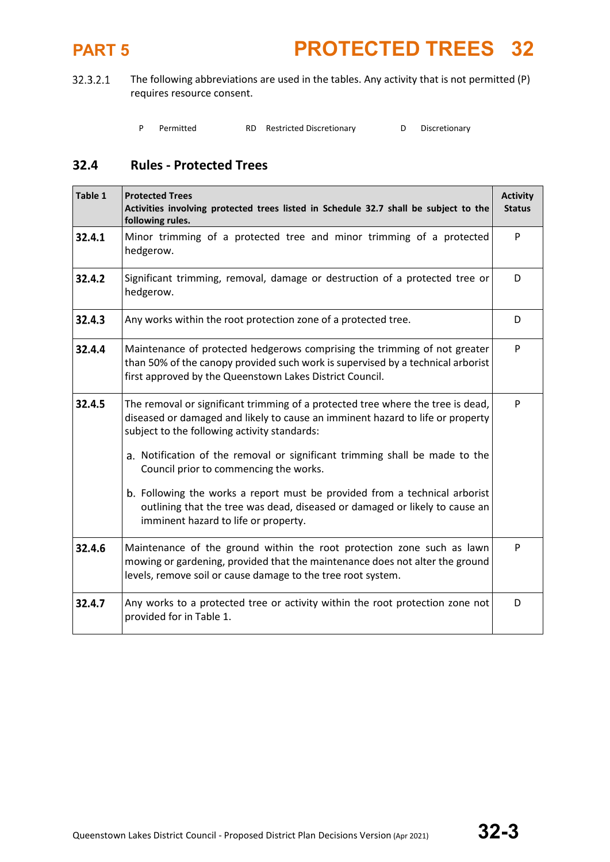The following abbreviations are used in the tables. Any activity that is not permitted (P) 32.3.2.1 requires resource consent.

|  | Permitted |  | RD Restricted Discretionary |  | Discretionary |
|--|-----------|--|-----------------------------|--|---------------|
|--|-----------|--|-----------------------------|--|---------------|

### **32.4 Rules - Protected Trees**

| Table 1 | <b>Protected Trees</b><br>Activities involving protected trees listed in Schedule 32.7 shall be subject to the<br>following rules.                                                                                       | <b>Activity</b><br><b>Status</b> |  |  |
|---------|--------------------------------------------------------------------------------------------------------------------------------------------------------------------------------------------------------------------------|----------------------------------|--|--|
| 32.4.1  | Minor trimming of a protected tree and minor trimming of a protected<br>hedgerow.                                                                                                                                        | P                                |  |  |
| 32.4.2  | Significant trimming, removal, damage or destruction of a protected tree or<br>hedgerow.                                                                                                                                 |                                  |  |  |
| 32.4.3  | Any works within the root protection zone of a protected tree.                                                                                                                                                           | D                                |  |  |
| 32.4.4  | Maintenance of protected hedgerows comprising the trimming of not greater<br>than 50% of the canopy provided such work is supervised by a technical arborist<br>first approved by the Queenstown Lakes District Council. | P                                |  |  |
| 32.4.5  | The removal or significant trimming of a protected tree where the tree is dead,<br>diseased or damaged and likely to cause an imminent hazard to life or property<br>subject to the following activity standards:        | P                                |  |  |
|         | a. Notification of the removal or significant trimming shall be made to the<br>Council prior to commencing the works.                                                                                                    |                                  |  |  |
|         | b. Following the works a report must be provided from a technical arborist<br>outlining that the tree was dead, diseased or damaged or likely to cause an<br>imminent hazard to life or property.                        |                                  |  |  |
| 32.4.6  | Maintenance of the ground within the root protection zone such as lawn<br>mowing or gardening, provided that the maintenance does not alter the ground<br>levels, remove soil or cause damage to the tree root system.   | P                                |  |  |
| 32.4.7  | Any works to a protected tree or activity within the root protection zone not<br>provided for in Table 1.                                                                                                                | D                                |  |  |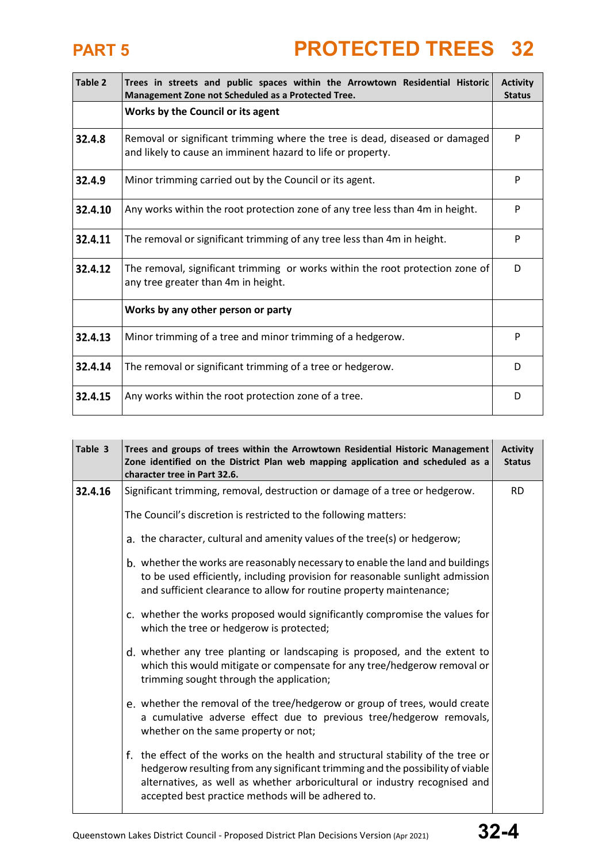| Table 2 | Trees in streets and public spaces within the Arrowtown Residential Historic<br>Management Zone not Scheduled as a Protected Tree.         |   |  |  |  |  |
|---------|--------------------------------------------------------------------------------------------------------------------------------------------|---|--|--|--|--|
|         | Works by the Council or its agent                                                                                                          |   |  |  |  |  |
| 32.4.8  | Removal or significant trimming where the tree is dead, diseased or damaged<br>and likely to cause an imminent hazard to life or property. |   |  |  |  |  |
| 32.4.9  | Minor trimming carried out by the Council or its agent.                                                                                    |   |  |  |  |  |
| 32.4.10 | Any works within the root protection zone of any tree less than 4m in height.                                                              |   |  |  |  |  |
| 32.4.11 | The removal or significant trimming of any tree less than 4m in height.                                                                    |   |  |  |  |  |
| 32.4.12 | The removal, significant trimming or works within the root protection zone of<br>any tree greater than 4m in height.                       |   |  |  |  |  |
|         | Works by any other person or party                                                                                                         |   |  |  |  |  |
| 32.4.13 | Minor trimming of a tree and minor trimming of a hedgerow.                                                                                 | P |  |  |  |  |
| 32.4.14 | The removal or significant trimming of a tree or hedgerow.                                                                                 | D |  |  |  |  |
| 32.4.15 | Any works within the root protection zone of a tree.                                                                                       | D |  |  |  |  |

| Table 3 | Trees and groups of trees within the Arrowtown Residential Historic Management<br>Zone identified on the District Plan web mapping application and scheduled as a<br>character tree in Part 32.6.                                                                                                      |           |  |  |
|---------|--------------------------------------------------------------------------------------------------------------------------------------------------------------------------------------------------------------------------------------------------------------------------------------------------------|-----------|--|--|
| 32.4.16 | Significant trimming, removal, destruction or damage of a tree or hedgerow.                                                                                                                                                                                                                            | <b>RD</b> |  |  |
|         | The Council's discretion is restricted to the following matters:                                                                                                                                                                                                                                       |           |  |  |
|         | a. the character, cultural and amenity values of the tree(s) or hedgerow;                                                                                                                                                                                                                              |           |  |  |
|         | b. whether the works are reasonably necessary to enable the land and buildings<br>to be used efficiently, including provision for reasonable sunlight admission<br>and sufficient clearance to allow for routine property maintenance;                                                                 |           |  |  |
|         | c. whether the works proposed would significantly compromise the values for<br>which the tree or hedgerow is protected;                                                                                                                                                                                |           |  |  |
|         | d. whether any tree planting or landscaping is proposed, and the extent to<br>which this would mitigate or compensate for any tree/hedgerow removal or<br>trimming sought through the application;                                                                                                     |           |  |  |
|         | e. whether the removal of the tree/hedgerow or group of trees, would create<br>a cumulative adverse effect due to previous tree/hedgerow removals,<br>whether on the same property or not;                                                                                                             |           |  |  |
|         | f. the effect of the works on the health and structural stability of the tree or<br>hedgerow resulting from any significant trimming and the possibility of viable<br>alternatives, as well as whether arboricultural or industry recognised and<br>accepted best practice methods will be adhered to. |           |  |  |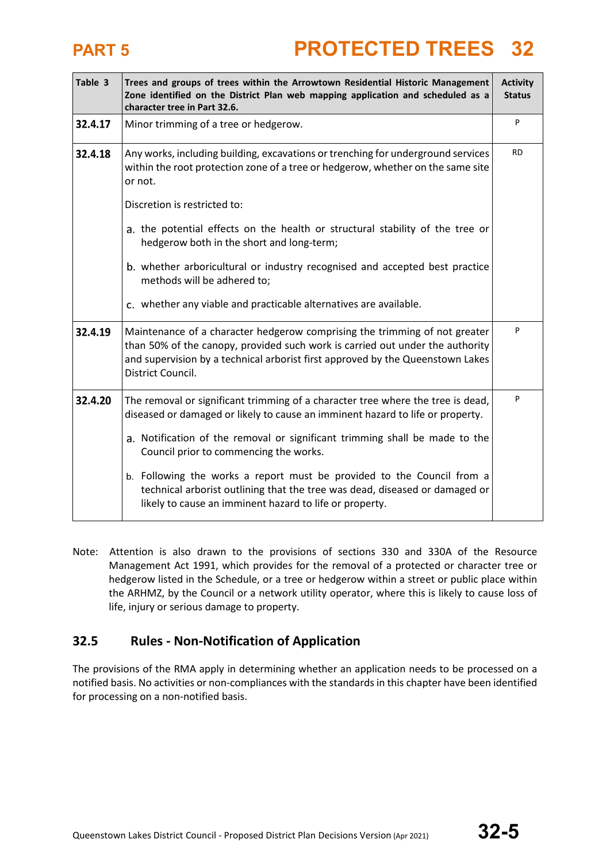| Table 3 | Trees and groups of trees within the Arrowtown Residential Historic Management<br>Zone identified on the District Plan web mapping application and scheduled as a<br>character tree in Part 32.6.                                                                  |           |  |  |
|---------|--------------------------------------------------------------------------------------------------------------------------------------------------------------------------------------------------------------------------------------------------------------------|-----------|--|--|
| 32.4.17 | Minor trimming of a tree or hedgerow.                                                                                                                                                                                                                              | P         |  |  |
| 32.4.18 | Any works, including building, excavations or trenching for underground services<br>within the root protection zone of a tree or hedgerow, whether on the same site<br>or not.                                                                                     | <b>RD</b> |  |  |
|         | Discretion is restricted to:                                                                                                                                                                                                                                       |           |  |  |
|         | a. the potential effects on the health or structural stability of the tree or<br>hedgerow both in the short and long-term;                                                                                                                                         |           |  |  |
|         | b. whether arboricultural or industry recognised and accepted best practice<br>methods will be adhered to;                                                                                                                                                         |           |  |  |
|         | c. whether any viable and practicable alternatives are available.                                                                                                                                                                                                  |           |  |  |
| 32.4.19 | Maintenance of a character hedgerow comprising the trimming of not greater<br>than 50% of the canopy, provided such work is carried out under the authority<br>and supervision by a technical arborist first approved by the Queenstown Lakes<br>District Council. |           |  |  |
| 32.4.20 | The removal or significant trimming of a character tree where the tree is dead,<br>diseased or damaged or likely to cause an imminent hazard to life or property.                                                                                                  | P         |  |  |
|         | a. Notification of the removal or significant trimming shall be made to the<br>Council prior to commencing the works.                                                                                                                                              |           |  |  |
|         | b. Following the works a report must be provided to the Council from a<br>technical arborist outlining that the tree was dead, diseased or damaged or<br>likely to cause an imminent hazard to life or property.                                                   |           |  |  |

Note: Attention is also drawn to the provisions of sections 330 and 330A of the Resource Management Act 1991, which provides for the removal of a protected or character tree or hedgerow listed in the Schedule, or a tree or hedgerow within a street or public place within the ARHMZ, by the Council or a network utility operator, where this is likely to cause loss of life, injury or serious damage to property.

### **32.5 Rules - Non-Notification of Application**

The provisions of the RMA apply in determining whether an application needs to be processed on a notified basis. No activities or non-compliances with the standards in this chapter have been identified for processing on a non-notified basis.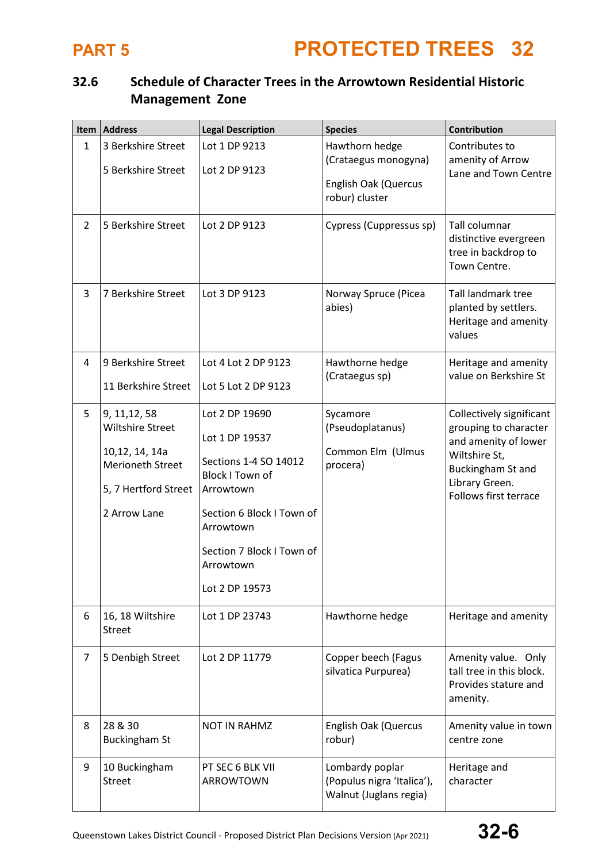### **32.6 Schedule of Character Trees in the Arrowtown Residential Historic Management Zone**

|                | Item   Address                                                                                                         | <b>Legal Description</b>                                                                                                                                                                               | <b>Species</b>                                                                          | <b>Contribution</b>                                                                                                                                        |
|----------------|------------------------------------------------------------------------------------------------------------------------|--------------------------------------------------------------------------------------------------------------------------------------------------------------------------------------------------------|-----------------------------------------------------------------------------------------|------------------------------------------------------------------------------------------------------------------------------------------------------------|
| $\mathbf{1}$   | 3 Berkshire Street<br>5 Berkshire Street                                                                               | Lot 1 DP 9213<br>Lot 2 DP 9123                                                                                                                                                                         | Hawthorn hedge<br>(Crataegus monogyna)<br><b>English Oak (Quercus</b><br>robur) cluster | Contributes to<br>amenity of Arrow<br>Lane and Town Centre                                                                                                 |
| $\overline{2}$ | 5 Berkshire Street                                                                                                     | Lot 2 DP 9123                                                                                                                                                                                          | Cypress (Cuppressus sp)                                                                 | Tall columnar<br>distinctive evergreen<br>tree in backdrop to<br>Town Centre.                                                                              |
| 3              | 7 Berkshire Street                                                                                                     | Lot 3 DP 9123                                                                                                                                                                                          | Norway Spruce (Picea<br>abies)                                                          | <b>Tall landmark tree</b><br>planted by settlers.<br>Heritage and amenity<br>values                                                                        |
| 4              | 9 Berkshire Street<br>11 Berkshire Street                                                                              | Lot 4 Lot 2 DP 9123<br>Lot 5 Lot 2 DP 9123                                                                                                                                                             | Hawthorne hedge<br>(Crataegus sp)                                                       | Heritage and amenity<br>value on Berkshire St                                                                                                              |
| 5              | 9, 11, 12, 58<br><b>Wiltshire Street</b><br>10,12, 14, 14a<br>Merioneth Street<br>5, 7 Hertford Street<br>2 Arrow Lane | Lot 2 DP 19690<br>Lot 1 DP 19537<br>Sections 1-4 SO 14012<br><b>Block I Town of</b><br>Arrowtown<br>Section 6 Block I Town of<br>Arrowtown<br>Section 7 Block I Town of<br>Arrowtown<br>Lot 2 DP 19573 | Sycamore<br>(Pseudoplatanus)<br>Common Elm (Ulmus<br>procera)                           | Collectively significant<br>grouping to character<br>and amenity of lower<br>Wiltshire St,<br>Buckingham St and<br>Library Green.<br>Follows first terrace |
| 6              | 16, 18 Wiltshire<br><b>Street</b>                                                                                      | Lot 1 DP 23743                                                                                                                                                                                         | Hawthorne hedge                                                                         | Heritage and amenity                                                                                                                                       |
| $\overline{7}$ | 5 Denbigh Street                                                                                                       | Lot 2 DP 11779                                                                                                                                                                                         | Copper beech (Fagus<br>silvatica Purpurea)                                              | Amenity value. Only<br>tall tree in this block.<br>Provides stature and<br>amenity.                                                                        |
| 8              | 28 & 30<br><b>Buckingham St</b>                                                                                        | <b>NOT IN RAHMZ</b>                                                                                                                                                                                    | English Oak (Quercus<br>robur)                                                          | Amenity value in town<br>centre zone                                                                                                                       |
| 9              | 10 Buckingham<br><b>Street</b>                                                                                         | PT SEC 6 BLK VII<br>ARROWTOWN                                                                                                                                                                          | Lombardy poplar<br>(Populus nigra 'Italica'),<br>Walnut (Juglans regia)                 | Heritage and<br>character                                                                                                                                  |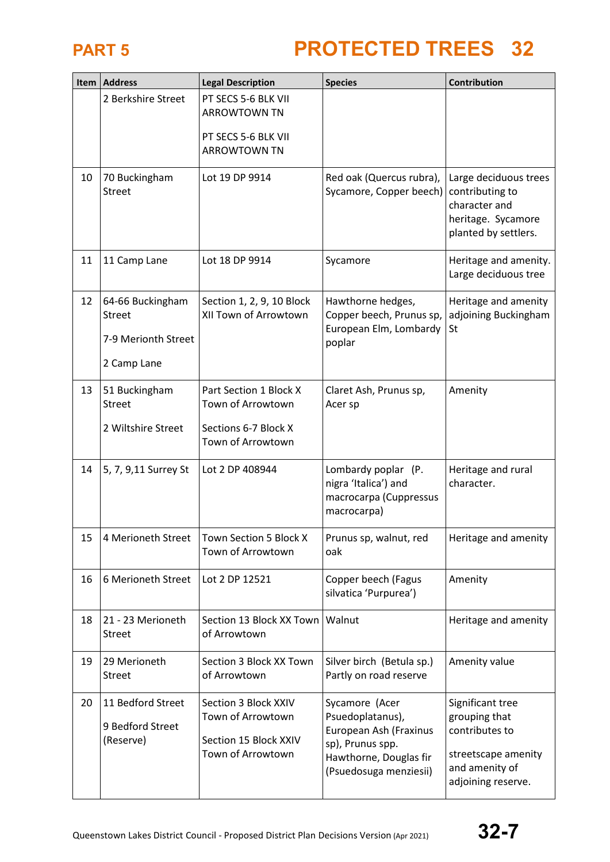

| Item | <b>Address</b>                                                          | <b>Legal Description</b>                                                                 | <b>Species</b>                                                                                                                       | Contribution                                                                                                       |
|------|-------------------------------------------------------------------------|------------------------------------------------------------------------------------------|--------------------------------------------------------------------------------------------------------------------------------------|--------------------------------------------------------------------------------------------------------------------|
|      | 2 Berkshire Street                                                      | PT SECS 5-6 BLK VII<br><b>ARROWTOWN TN</b><br>PT SECS 5-6 BLK VII<br><b>ARROWTOWN TN</b> |                                                                                                                                      |                                                                                                                    |
| 10   | 70 Buckingham<br><b>Street</b>                                          | Lot 19 DP 9914                                                                           | Red oak (Quercus rubra),<br>Sycamore, Copper beech)                                                                                  | Large deciduous trees<br>contributing to<br>character and<br>heritage. Sycamore<br>planted by settlers.            |
| 11   | 11 Camp Lane                                                            | Lot 18 DP 9914                                                                           | Sycamore                                                                                                                             | Heritage and amenity.<br>Large deciduous tree                                                                      |
| 12   | 64-66 Buckingham<br><b>Street</b><br>7-9 Merionth Street<br>2 Camp Lane | Section 1, 2, 9, 10 Block<br>XII Town of Arrowtown                                       | Hawthorne hedges,<br>Copper beech, Prunus sp,<br>European Elm, Lombardy<br>poplar                                                    | Heritage and amenity<br>adjoining Buckingham<br>St                                                                 |
| 13   | 51 Buckingham<br><b>Street</b><br>2 Wiltshire Street                    | Part Section 1 Block X<br>Town of Arrowtown<br>Sections 6-7 Block X<br>Town of Arrowtown | Claret Ash, Prunus sp,<br>Acer sp                                                                                                    | Amenity                                                                                                            |
| 14   | 5, 7, 9,11 Surrey St                                                    | Lot 2 DP 408944                                                                          | Lombardy poplar (P.<br>nigra 'Italica') and<br>macrocarpa (Cuppressus<br>macrocarpa)                                                 | Heritage and rural<br>character.                                                                                   |
| 15   | 4 Merioneth Street                                                      | Town Section 5 Block X<br>Town of Arrowtown                                              | Prunus sp, walnut, red<br>oak                                                                                                        | Heritage and amenity                                                                                               |
| 16   | 6 Merioneth Street                                                      | Lot 2 DP 12521                                                                           | Copper beech (Fagus<br>silvatica 'Purpurea')                                                                                         | Amenity                                                                                                            |
| 18   | 21 - 23 Merioneth<br>Street                                             | Section 13 Block XX Town<br>of Arrowtown                                                 | Walnut                                                                                                                               | Heritage and amenity                                                                                               |
| 19   | 29 Merioneth<br>Street                                                  | Section 3 Block XX Town<br>of Arrowtown                                                  | Silver birch (Betula sp.)<br>Partly on road reserve                                                                                  | Amenity value                                                                                                      |
| 20   | 11 Bedford Street<br>9 Bedford Street<br>(Reserve)                      | Section 3 Block XXIV<br>Town of Arrowtown<br>Section 15 Block XXIV<br>Town of Arrowtown  | Sycamore (Acer<br>Psuedoplatanus),<br>European Ash (Fraxinus<br>sp), Prunus spp.<br>Hawthorne, Douglas fir<br>(Psuedosuga menziesii) | Significant tree<br>grouping that<br>contributes to<br>streetscape amenity<br>and amenity of<br>adjoining reserve. |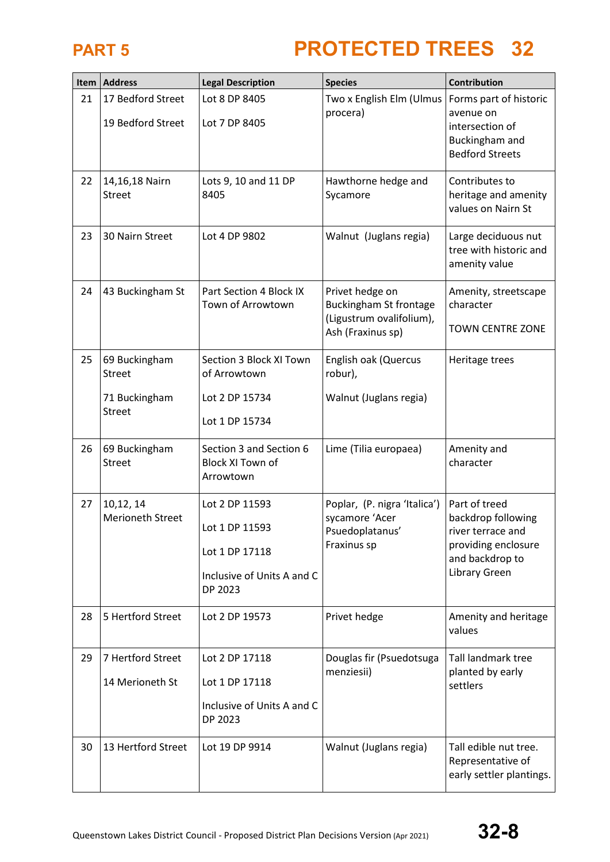|    | Item   Address                         | <b>Legal Description</b>                                                                    | <b>Species</b>                                                                                    | Contribution                                                                                                        |
|----|----------------------------------------|---------------------------------------------------------------------------------------------|---------------------------------------------------------------------------------------------------|---------------------------------------------------------------------------------------------------------------------|
| 21 | 17 Bedford Street<br>19 Bedford Street | Lot 8 DP 8405<br>Lot 7 DP 8405                                                              | Two x English Elm (Ulmus<br>procera)                                                              | Forms part of historic<br>avenue on<br>intersection of<br>Buckingham and<br><b>Bedford Streets</b>                  |
| 22 | 14,16,18 Nairn<br><b>Street</b>        | Lots 9, 10 and 11 DP<br>8405                                                                | Hawthorne hedge and<br>Sycamore                                                                   | Contributes to<br>heritage and amenity<br>values on Nairn St                                                        |
| 23 | 30 Nairn Street                        | Lot 4 DP 9802                                                                               | Walnut (Juglans regia)                                                                            | Large deciduous nut<br>tree with historic and<br>amenity value                                                      |
| 24 | 43 Buckingham St                       | Part Section 4 Block IX<br>Town of Arrowtown                                                | Privet hedge on<br><b>Buckingham St frontage</b><br>(Ligustrum ovalifolium),<br>Ash (Fraxinus sp) | Amenity, streetscape<br>character<br><b>TOWN CENTRE ZONE</b>                                                        |
| 25 | 69 Buckingham<br><b>Street</b>         | Section 3 Block XI Town<br>of Arrowtown                                                     | English oak (Quercus<br>robur),                                                                   | Heritage trees                                                                                                      |
|    | 71 Buckingham<br><b>Street</b>         | Lot 2 DP 15734<br>Lot 1 DP 15734                                                            | Walnut (Juglans regia)                                                                            |                                                                                                                     |
| 26 | 69 Buckingham<br><b>Street</b>         | Section 3 and Section 6<br><b>Block XI Town of</b><br>Arrowtown                             | Lime (Tilia europaea)                                                                             | Amenity and<br>character                                                                                            |
| 27 | 10,12, 14<br><b>Merioneth Street</b>   | Lot 2 DP 11593<br>Lot 1 DP 11593<br>Lot 1 DP 17118<br>Inclusive of Units A and C<br>DP 2023 | Poplar, (P. nigra 'Italica')<br>sycamore 'Acer<br>Psuedoplatanus'<br>Fraxinus sp                  | Part of treed<br>backdrop following<br>river terrace and<br>providing enclosure<br>and backdrop to<br>Library Green |
| 28 | 5 Hertford Street                      | Lot 2 DP 19573                                                                              | Privet hedge                                                                                      | Amenity and heritage<br>values                                                                                      |
| 29 | 7 Hertford Street                      | Lot 2 DP 17118                                                                              | Douglas fir (Psuedotsuga<br>menziesii)                                                            | Tall landmark tree<br>planted by early                                                                              |
|    | 14 Merioneth St                        | Lot 1 DP 17118<br>Inclusive of Units A and C<br>DP 2023                                     |                                                                                                   | settlers                                                                                                            |
| 30 | 13 Hertford Street                     | Lot 19 DP 9914                                                                              | Walnut (Juglans regia)                                                                            | Tall edible nut tree.<br>Representative of<br>early settler plantings.                                              |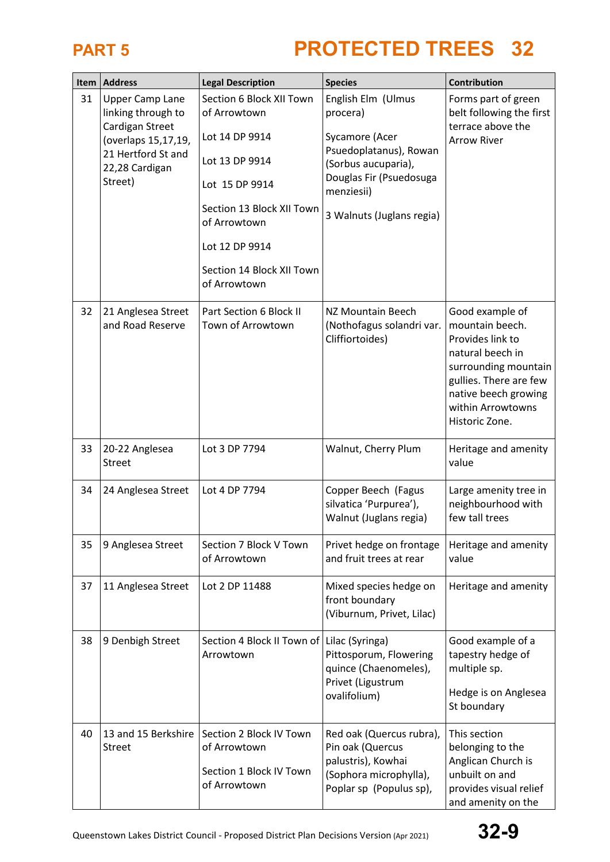|    | Item   Address                                                                                                                            | <b>Legal Description</b>                                                                                                                                                                                   | <b>Species</b>                                                                                                                                                          | Contribution                                                                                                                                                                                |
|----|-------------------------------------------------------------------------------------------------------------------------------------------|------------------------------------------------------------------------------------------------------------------------------------------------------------------------------------------------------------|-------------------------------------------------------------------------------------------------------------------------------------------------------------------------|---------------------------------------------------------------------------------------------------------------------------------------------------------------------------------------------|
| 31 | <b>Upper Camp Lane</b><br>linking through to<br>Cardigan Street<br>(overlaps 15,17,19,<br>21 Hertford St and<br>22,28 Cardigan<br>Street) | Section 6 Block XII Town<br>of Arrowtown<br>Lot 14 DP 9914<br>Lot 13 DP 9914<br>Lot 15 DP 9914<br>Section 13 Block XII Town<br>of Arrowtown<br>Lot 12 DP 9914<br>Section 14 Block XII Town<br>of Arrowtown | English Elm (Ulmus<br>procera)<br>Sycamore (Acer<br>Psuedoplatanus), Rowan<br>(Sorbus aucuparia),<br>Douglas Fir (Psuedosuga<br>menziesii)<br>3 Walnuts (Juglans regia) | Forms part of green<br>belt following the first<br>terrace above the<br><b>Arrow River</b>                                                                                                  |
| 32 | 21 Anglesea Street<br>and Road Reserve                                                                                                    | Part Section 6 Block II<br>Town of Arrowtown                                                                                                                                                               | NZ Mountain Beech<br>(Nothofagus solandri var.<br>Cliffiortoides)                                                                                                       | Good example of<br>mountain beech.<br>Provides link to<br>natural beech in<br>surrounding mountain<br>gullies. There are few<br>native beech growing<br>within Arrowtowns<br>Historic Zone. |
| 33 | 20-22 Anglesea<br><b>Street</b>                                                                                                           | Lot 3 DP 7794                                                                                                                                                                                              | Walnut, Cherry Plum                                                                                                                                                     | Heritage and amenity<br>value                                                                                                                                                               |
| 34 | 24 Anglesea Street                                                                                                                        | Lot 4 DP 7794                                                                                                                                                                                              | Copper Beech (Fagus<br>silvatica 'Purpurea'),<br>Walnut (Juglans regia)                                                                                                 | Large amenity tree in<br>neighbourhood with<br>few tall trees                                                                                                                               |
| 35 | 9 Anglesea Street                                                                                                                         | Section 7 Block V Town<br>of Arrowtown                                                                                                                                                                     | Privet hedge on frontage<br>and fruit trees at rear                                                                                                                     | Heritage and amenity<br>value                                                                                                                                                               |
| 37 | 11 Anglesea Street                                                                                                                        | Lot 2 DP 11488                                                                                                                                                                                             | Mixed species hedge on<br>front boundary<br>(Viburnum, Privet, Lilac)                                                                                                   | Heritage and amenity                                                                                                                                                                        |
| 38 | 9 Denbigh Street                                                                                                                          | Section 4 Block II Town of   Lilac (Syringa)<br>Arrowtown                                                                                                                                                  | Pittosporum, Flowering<br>quince (Chaenomeles),<br>Privet (Ligustrum<br>ovalifolium)                                                                                    | Good example of a<br>tapestry hedge of<br>multiple sp.<br>Hedge is on Anglesea<br>St boundary                                                                                               |
| 40 | 13 and 15 Berkshire<br><b>Street</b>                                                                                                      | Section 2 Block IV Town<br>of Arrowtown<br>Section 1 Block IV Town<br>of Arrowtown                                                                                                                         | Red oak (Quercus rubra),<br>Pin oak (Quercus<br>palustris), Kowhai<br>(Sophora microphylla),<br>Poplar sp (Populus sp),                                                 | This section<br>belonging to the<br>Anglican Church is<br>unbuilt on and<br>provides visual relief<br>and amenity on the                                                                    |

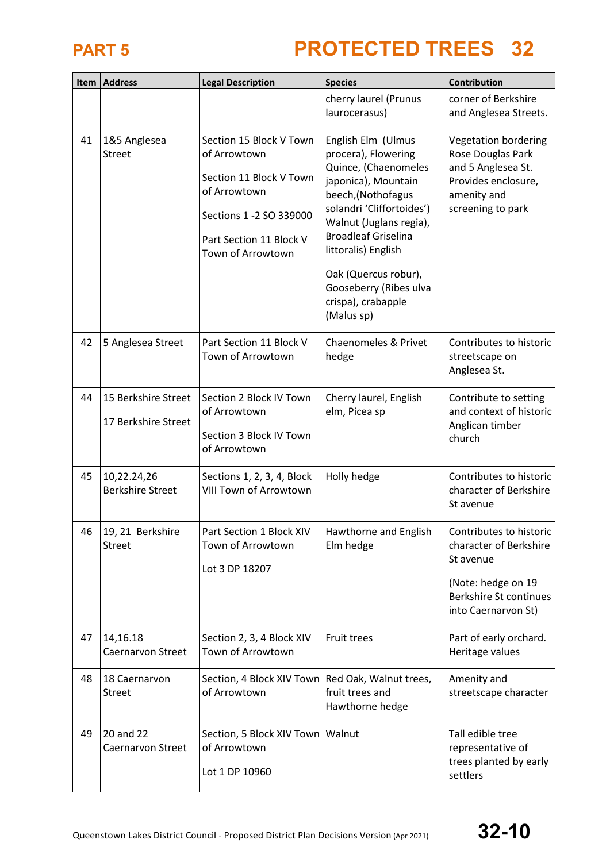|    | Item   Address                             | <b>Legal Description</b>                                                                                                                                      | <b>Species</b>                                                                                                                                                                                                                                                                                                    | Contribution                                                                                                                                 |
|----|--------------------------------------------|---------------------------------------------------------------------------------------------------------------------------------------------------------------|-------------------------------------------------------------------------------------------------------------------------------------------------------------------------------------------------------------------------------------------------------------------------------------------------------------------|----------------------------------------------------------------------------------------------------------------------------------------------|
|    |                                            |                                                                                                                                                               | cherry laurel (Prunus<br>laurocerasus)                                                                                                                                                                                                                                                                            | corner of Berkshire<br>and Anglesea Streets.                                                                                                 |
| 41 | 1&5 Anglesea<br><b>Street</b>              | Section 15 Block V Town<br>of Arrowtown<br>Section 11 Block V Town<br>of Arrowtown<br>Sections 1 -2 SO 339000<br>Part Section 11 Block V<br>Town of Arrowtown | English Elm (Ulmus<br>procera), Flowering<br>Quince, (Chaenomeles<br>japonica), Mountain<br>beech, (Nothofagus<br>solandri 'Cliffortoides')<br>Walnut (Juglans regia),<br><b>Broadleaf Griselina</b><br>littoralis) English<br>Oak (Quercus robur),<br>Gooseberry (Ribes ulva<br>crispa), crabapple<br>(Malus sp) | Vegetation bordering<br>Rose Douglas Park<br>and 5 Anglesea St.<br>Provides enclosure,<br>amenity and<br>screening to park                   |
| 42 | 5 Anglesea Street                          | Part Section 11 Block V<br>Town of Arrowtown                                                                                                                  | Chaenomeles & Privet<br>hedge                                                                                                                                                                                                                                                                                     | Contributes to historic<br>streetscape on<br>Anglesea St.                                                                                    |
| 44 | 15 Berkshire Street<br>17 Berkshire Street | Section 2 Block IV Town<br>of Arrowtown<br>Section 3 Block IV Town<br>of Arrowtown                                                                            | Cherry laurel, English<br>elm, Picea sp                                                                                                                                                                                                                                                                           | Contribute to setting<br>and context of historic<br>Anglican timber<br>church                                                                |
| 45 | 10,22.24,26<br><b>Berkshire Street</b>     | Sections 1, 2, 3, 4, Block<br><b>VIII Town of Arrowtown</b>                                                                                                   | Holly hedge                                                                                                                                                                                                                                                                                                       | Contributes to historic<br>character of Berkshire<br>St avenue                                                                               |
| 46 | 19, 21 Berkshire<br><b>Street</b>          | Part Section 1 Block XIV<br>Town of Arrowtown<br>Lot 3 DP 18207                                                                                               | Hawthorne and English<br>Elm hedge                                                                                                                                                                                                                                                                                | Contributes to historic<br>character of Berkshire<br>St avenue<br>(Note: hedge on 19<br><b>Berkshire St continues</b><br>into Caernarvon St) |
| 47 | 14,16.18<br>Caernarvon Street              | Section 2, 3, 4 Block XIV<br>Town of Arrowtown                                                                                                                | Fruit trees                                                                                                                                                                                                                                                                                                       | Part of early orchard.<br>Heritage values                                                                                                    |
| 48 | 18 Caernarvon<br><b>Street</b>             | Section, 4 Block XIV Town   Red Oak, Walnut trees,<br>of Arrowtown                                                                                            | fruit trees and<br>Hawthorne hedge                                                                                                                                                                                                                                                                                | Amenity and<br>streetscape character                                                                                                         |
| 49 | 20 and 22<br>Caernarvon Street             | Section, 5 Block XIV Town   Walnut<br>of Arrowtown<br>Lot 1 DP 10960                                                                                          |                                                                                                                                                                                                                                                                                                                   | Tall edible tree<br>representative of<br>trees planted by early<br>settlers                                                                  |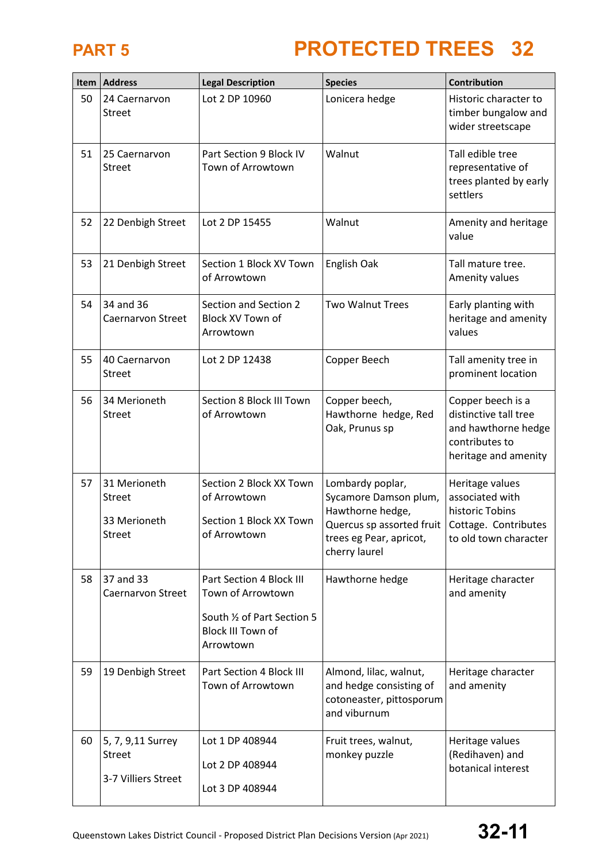| Item | <b>Address</b>                                            | <b>Legal Description</b>                                                                                              | <b>Species</b>                                                                                                                         | Contribution                                                                                                |
|------|-----------------------------------------------------------|-----------------------------------------------------------------------------------------------------------------------|----------------------------------------------------------------------------------------------------------------------------------------|-------------------------------------------------------------------------------------------------------------|
| 50   | 24 Caernarvon<br><b>Street</b>                            | Lot 2 DP 10960                                                                                                        | Lonicera hedge                                                                                                                         | Historic character to<br>timber bungalow and<br>wider streetscape                                           |
| 51   | 25 Caernarvon<br><b>Street</b>                            | Part Section 9 Block IV<br>Town of Arrowtown                                                                          | Walnut                                                                                                                                 | Tall edible tree<br>representative of<br>trees planted by early<br>settlers                                 |
| 52   | 22 Denbigh Street                                         | Lot 2 DP 15455                                                                                                        | Walnut                                                                                                                                 | Amenity and heritage<br>value                                                                               |
| 53   | 21 Denbigh Street                                         | Section 1 Block XV Town<br>of Arrowtown                                                                               | English Oak                                                                                                                            | Tall mature tree.<br>Amenity values                                                                         |
| 54   | 34 and 36<br>Caernarvon Street                            | Section and Section 2<br>Block XV Town of<br>Arrowtown                                                                | <b>Two Walnut Trees</b>                                                                                                                | Early planting with<br>heritage and amenity<br>values                                                       |
| 55   | 40 Caernarvon<br><b>Street</b>                            | Lot 2 DP 12438                                                                                                        | Copper Beech                                                                                                                           | Tall amenity tree in<br>prominent location                                                                  |
| 56   | 34 Merioneth<br><b>Street</b>                             | Section 8 Block III Town<br>of Arrowtown                                                                              | Copper beech,<br>Hawthorne hedge, Red<br>Oak, Prunus sp                                                                                | Copper beech is a<br>distinctive tall tree<br>and hawthorne hedge<br>contributes to<br>heritage and amenity |
| 57   | 31 Merioneth<br>Street<br>33 Merioneth<br>Street          | Section 2 Block XX Town<br>of Arrowtown<br>Section 1 Block XX Town<br>of Arrowtown                                    | Lombardy poplar,<br>Sycamore Damson plum,<br>Hawthorne hedge,<br>Quercus sp assorted fruit<br>trees eg Pear, apricot,<br>cherry laurel | Heritage values<br>associated with<br>historic Tobins<br>Cottage. Contributes<br>to old town character      |
| 58   | 37 and 33<br>Caernarvon Street                            | Part Section 4 Block III<br>Town of Arrowtown<br>South 1/2 of Part Section 5<br><b>Block III Town of</b><br>Arrowtown | Hawthorne hedge                                                                                                                        | Heritage character<br>and amenity                                                                           |
| 59   | 19 Denbigh Street                                         | Part Section 4 Block III<br>Town of Arrowtown                                                                         | Almond, lilac, walnut,<br>and hedge consisting of<br>cotoneaster, pittosporum<br>and viburnum                                          | Heritage character<br>and amenity                                                                           |
| 60   | 5, 7, 9,11 Surrey<br><b>Street</b><br>3-7 Villiers Street | Lot 1 DP 408944<br>Lot 2 DP 408944<br>Lot 3 DP 408944                                                                 | Fruit trees, walnut,<br>monkey puzzle                                                                                                  | Heritage values<br>(Redihaven) and<br>botanical interest                                                    |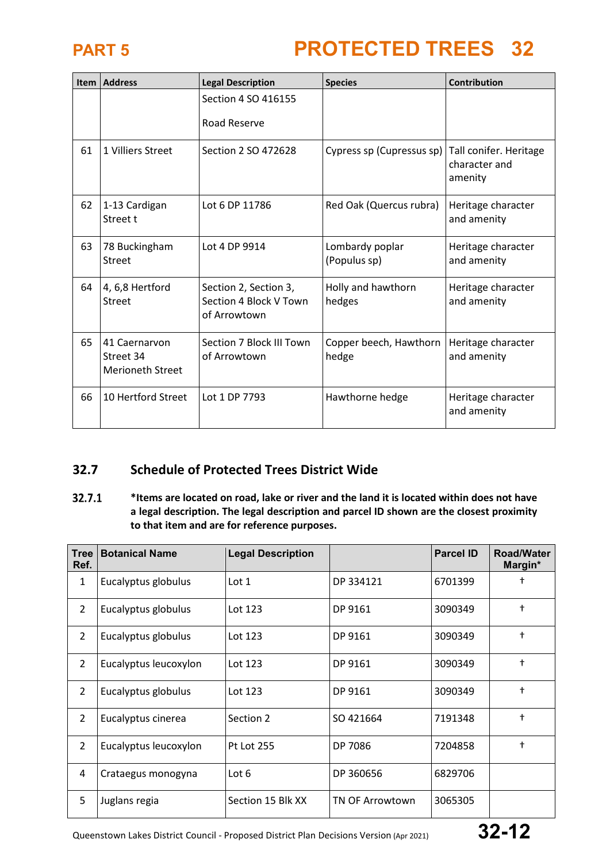

|    | <b>Item Address</b>                                   | <b>Legal Description</b>                                        | <b>Species</b>                  | Contribution                                       |
|----|-------------------------------------------------------|-----------------------------------------------------------------|---------------------------------|----------------------------------------------------|
|    |                                                       | Section 4 SO 416155                                             |                                 |                                                    |
|    |                                                       | Road Reserve                                                    |                                 |                                                    |
| 61 | 1 Villiers Street                                     | Section 2 SO 472628                                             | Cypress sp (Cupressus sp)       | Tall conifer. Heritage<br>character and<br>amenity |
| 62 | 1-13 Cardigan<br>Street t                             | Lot 6 DP 11786                                                  | Red Oak (Quercus rubra)         | Heritage character<br>and amenity                  |
| 63 | 78 Buckingham<br><b>Street</b>                        | Lot 4 DP 9914                                                   | Lombardy poplar<br>(Populus sp) | Heritage character<br>and amenity                  |
| 64 | 4, 6,8 Hertford<br>Street                             | Section 2, Section 3,<br>Section 4 Block V Town<br>of Arrowtown | Holly and hawthorn<br>hedges    | Heritage character<br>and amenity                  |
| 65 | 41 Caernarvon<br>Street 34<br><b>Merioneth Street</b> | Section 7 Block III Town<br>of Arrowtown                        | Copper beech, Hawthorn<br>hedge | Heritage character<br>and amenity                  |
| 66 | 10 Hertford Street                                    | Lot 1 DP 7793                                                   | Hawthorne hedge                 | Heritage character<br>and amenity                  |

### **32.7 Schedule of Protected Trees District Wide**

 $32.7.1$ **\*Items are located on road, lake or river and the land it is located within does not have a legal description. The legal description and parcel ID shown are the closest proximity to that item and are for reference purposes.**

| <b>Tree</b><br>Ref. | <b>Botanical Name</b> | <b>Legal Description</b> |                 | <b>Parcel ID</b> | <b>Road/Water</b><br>Margin* |
|---------------------|-----------------------|--------------------------|-----------------|------------------|------------------------------|
| $\mathbf{1}$        | Eucalyptus globulus   | Lot 1                    | DP 334121       | 6701399          | +                            |
| $\overline{2}$      | Eucalyptus globulus   | Lot 123                  | DP 9161         | 3090349          | $\ddagger$                   |
| 2                   | Eucalyptus globulus   | Lot 123                  | DP 9161         | 3090349          | $\ddagger$                   |
| $\overline{2}$      | Eucalyptus leucoxylon | Lot 123                  | DP 9161         | 3090349          | $\ddagger$                   |
| 2                   | Eucalyptus globulus   | Lot 123                  | DP 9161         | 3090349          | $\ddagger$                   |
| $\overline{2}$      | Eucalyptus cinerea    | Section 2                | SO 421664       | 7191348          | $\ddagger$                   |
| $\overline{2}$      | Eucalyptus leucoxylon | <b>Pt Lot 255</b>        | DP 7086         | 7204858          | $\ddagger$                   |
| 4                   | Crataegus monogyna    | Lot $6$                  | DP 360656       | 6829706          |                              |
| 5                   | Juglans regia         | Section 15 Blk XX        | TN OF Arrowtown | 3065305          |                              |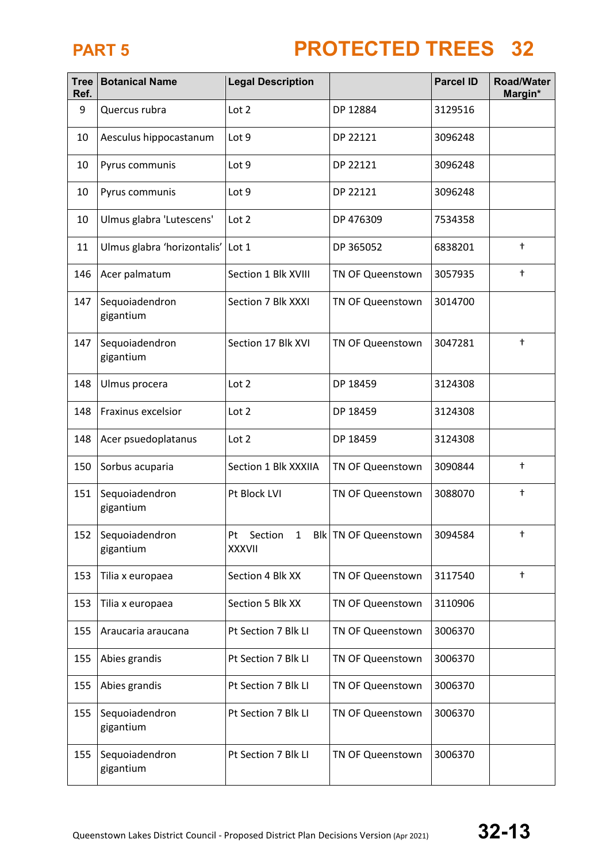| <b>Tree</b><br>Ref. | <b>Botanical Name</b>       | <b>Legal Description</b>                       |                        | <b>Parcel ID</b> | <b>Road/Water</b><br>Margin* |
|---------------------|-----------------------------|------------------------------------------------|------------------------|------------------|------------------------------|
| 9                   | Quercus rubra               | Lot 2                                          | DP 12884               | 3129516          |                              |
| 10                  | Aesculus hippocastanum      | Lot 9                                          | DP 22121               | 3096248          |                              |
| 10                  | Pyrus communis              | Lot 9                                          | DP 22121               | 3096248          |                              |
| 10                  | Pyrus communis              | Lot 9                                          | DP 22121               | 3096248          |                              |
| 10                  | Ulmus glabra 'Lutescens'    | Lot 2                                          | DP 476309              | 7534358          |                              |
| 11                  | Ulmus glabra 'horizontalis' | Lot 1                                          | DP 365052              | 6838201          | $\ddagger$                   |
| 146                 | Acer palmatum               | Section 1 Blk XVIII                            | TN OF Queenstown       | 3057935          | $\ddagger$                   |
| 147                 | Sequoiadendron<br>gigantium | Section 7 Blk XXXI                             | TN OF Queenstown       | 3014700          |                              |
| 147                 | Sequoiadendron<br>gigantium | Section 17 Blk XVI                             | TN OF Queenstown       | 3047281          | $\ddagger$                   |
| 148                 | Ulmus procera               | Lot 2                                          | DP 18459               | 3124308          |                              |
| 148                 | Fraxinus excelsior          | Lot 2                                          | DP 18459               | 3124308          |                              |
| 148                 | Acer psuedoplatanus         | Lot 2                                          | DP 18459               | 3124308          |                              |
| 150                 | Sorbus acuparia             | Section 1 Blk XXXIIA                           | TN OF Queenstown       | 3090844          | $\ddagger$                   |
| 151                 | Sequoiadendron<br>gigantium | Pt Block LVI                                   | TN OF Queenstown       | 3088070          | $^\mathrm{+}$                |
| 152                 | Sequoiadendron<br>gigantium | Section<br>Pt<br>$\mathbf{1}$<br><b>XXXVII</b> | Blk   TN OF Queenstown | 3094584          | t                            |
| 153                 | Tilia x europaea            | Section 4 Blk XX                               | TN OF Queenstown       | 3117540          | $^\mathrm{+}$                |
| 153                 | Tilia x europaea            | Section 5 Blk XX                               | TN OF Queenstown       | 3110906          |                              |
| 155                 | Araucaria araucana          | Pt Section 7 Blk Ll                            | TN OF Queenstown       | 3006370          |                              |
| 155                 | Abies grandis               | Pt Section 7 Blk Ll                            | TN OF Queenstown       | 3006370          |                              |
| 155                 | Abies grandis               | Pt Section 7 Blk Ll                            | TN OF Queenstown       | 3006370          |                              |
| 155                 | Sequoiadendron<br>gigantium | Pt Section 7 Blk Ll                            | TN OF Queenstown       | 3006370          |                              |
| 155                 | Sequoiadendron<br>gigantium | Pt Section 7 Blk Ll                            | TN OF Queenstown       | 3006370          |                              |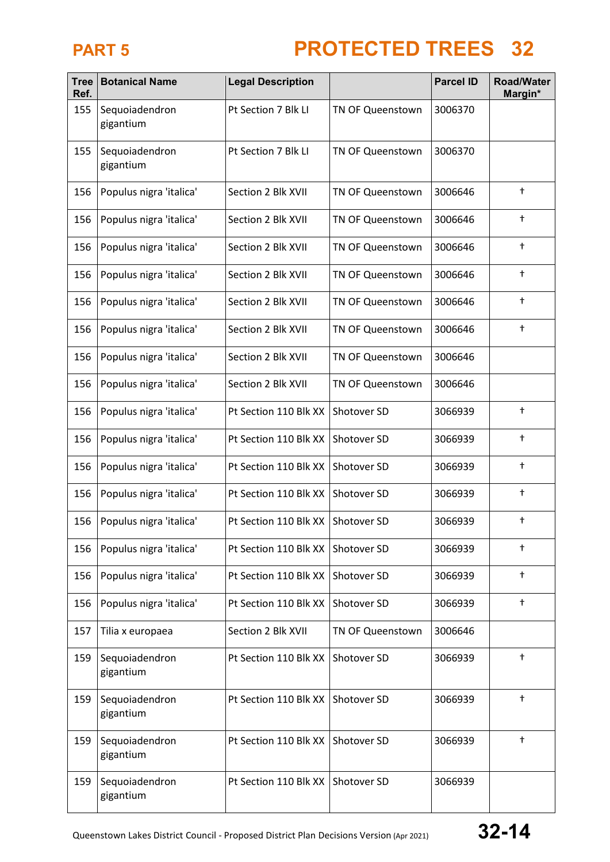| <b>Tree</b><br>Ref. | <b>Botanical Name</b>       | <b>Legal Description</b> |                  | <b>Parcel ID</b> | <b>Road/Water</b><br>Margin* |
|---------------------|-----------------------------|--------------------------|------------------|------------------|------------------------------|
| 155                 | Sequoiadendron<br>gigantium | Pt Section 7 Blk LI      | TN OF Queenstown | 3006370          |                              |
| 155                 | Sequoiadendron<br>gigantium | Pt Section 7 Blk LI      | TN OF Queenstown | 3006370          |                              |
| 156                 | Populus nigra 'italica'     | Section 2 Blk XVII       | TN OF Queenstown | 3006646          | $\ddagger$                   |
| 156                 | Populus nigra 'italica'     | Section 2 Blk XVII       | TN OF Queenstown | 3006646          | $\ddagger$                   |
| 156                 | Populus nigra 'italica'     | Section 2 Blk XVII       | TN OF Queenstown | 3006646          | $^\dagger$                   |
| 156                 | Populus nigra 'italica'     | Section 2 Blk XVII       | TN OF Queenstown | 3006646          | $^\mathrm{+}$                |
| 156                 | Populus nigra 'italica'     | Section 2 Blk XVII       | TN OF Queenstown | 3006646          | $^\dagger$                   |
| 156                 | Populus nigra 'italica'     | Section 2 Blk XVII       | TN OF Queenstown | 3006646          | $^\dagger$                   |
| 156                 | Populus nigra 'italica'     | Section 2 Blk XVII       | TN OF Queenstown | 3006646          |                              |
| 156                 | Populus nigra 'italica'     | Section 2 Blk XVII       | TN OF Queenstown | 3006646          |                              |
| 156                 | Populus nigra 'italica'     | Pt Section 110 Blk XX    | Shotover SD      | 3066939          | $^\dagger$                   |
| 156                 | Populus nigra 'italica'     | Pt Section 110 Blk XX    | Shotover SD      | 3066939          | $^\mathrm{+}$                |
| 156                 | Populus nigra 'italica'     | Pt Section 110 Blk XX    | Shotover SD      | 3066939          | $^\dagger$                   |
| 156                 | Populus nigra 'italica'     | Pt Section 110 Blk XX    | Shotover SD      | 3066939          | $^\mathrm{+}$                |
| 156                 | Populus nigra 'italica'     | Pt Section 110 Blk XX    | Shotover SD      | 3066939          | $\ddagger$                   |
| 156                 | Populus nigra 'italica'     | Pt Section 110 Blk XX    | Shotover SD      | 3066939          | $\ddagger$                   |
| 156                 | Populus nigra 'italica'     | Pt Section 110 Blk XX    | Shotover SD      | 3066939          | $\ddagger$                   |
| 156                 | Populus nigra 'italica'     | Pt Section 110 Blk XX    | Shotover SD      | 3066939          | $\ddagger$                   |
| 157                 | Tilia x europaea            | Section 2 Blk XVII       | TN OF Queenstown | 3006646          |                              |
| 159                 | Sequoiadendron<br>gigantium | Pt Section 110 Blk XX    | Shotover SD      | 3066939          | $^\mathrm{+}$                |
| 159                 | Sequoiadendron<br>gigantium | Pt Section 110 Blk XX    | Shotover SD      | 3066939          | $\ddagger$                   |
| 159                 | Sequoiadendron<br>gigantium | Pt Section 110 Blk XX    | Shotover SD      | 3066939          | $\ddagger$                   |
| 159                 | Sequoiadendron<br>gigantium | Pt Section 110 Blk XX    | Shotover SD      | 3066939          |                              |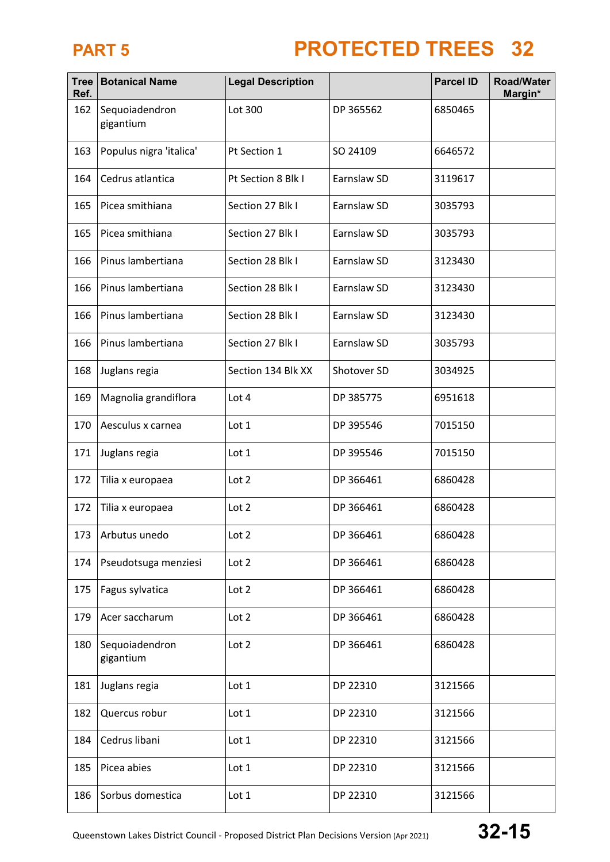| <b>Tree</b><br>Ref. | <b>Botanical Name</b>       | <b>Legal Description</b> |             | <b>Parcel ID</b> | <b>Road/Water</b><br>Margin* |
|---------------------|-----------------------------|--------------------------|-------------|------------------|------------------------------|
| 162                 | Sequoiadendron<br>gigantium | Lot 300                  | DP 365562   | 6850465          |                              |
| 163                 | Populus nigra 'italica'     | Pt Section 1             | SO 24109    | 6646572          |                              |
| 164                 | Cedrus atlantica            | Pt Section 8 Blk I       | Earnslaw SD | 3119617          |                              |
| 165                 | Picea smithiana             | Section 27 Blk I         | Earnslaw SD | 3035793          |                              |
| 165                 | Picea smithiana             | Section 27 Blk I         | Earnslaw SD | 3035793          |                              |
| 166                 | Pinus lambertiana           | Section 28 Blk I         | Earnslaw SD | 3123430          |                              |
| 166                 | Pinus lambertiana           | Section 28 Blk I         | Earnslaw SD | 3123430          |                              |
| 166                 | Pinus lambertiana           | Section 28 Blk I         | Earnslaw SD | 3123430          |                              |
| 166                 | Pinus lambertiana           | Section 27 Blk I         | Earnslaw SD | 3035793          |                              |
| 168                 | Juglans regia               | Section 134 Blk XX       | Shotover SD | 3034925          |                              |
| 169                 | Magnolia grandiflora        | Lot 4                    | DP 385775   | 6951618          |                              |
| 170                 | Aesculus x carnea           | Lot 1                    | DP 395546   | 7015150          |                              |
| 171                 | Juglans regia               | Lot 1                    | DP 395546   | 7015150          |                              |
| 172                 | Tilia x europaea            | Lot 2                    | DP 366461   | 6860428          |                              |
| 172                 | Tilia x europaea            | Lot 2                    | DP 366461   | 6860428          |                              |
| 173                 | Arbutus unedo               | Lot 2                    | DP 366461   | 6860428          |                              |
| 174                 | Pseudotsuga menziesi        | Lot 2                    | DP 366461   | 6860428          |                              |
| 175                 | Fagus sylvatica             | Lot 2                    | DP 366461   | 6860428          |                              |
| 179                 | Acer saccharum              | Lot 2                    | DP 366461   | 6860428          |                              |
| 180                 | Sequoiadendron<br>gigantium | Lot 2                    | DP 366461   | 6860428          |                              |
| 181                 | Juglans regia               | Lot 1                    | DP 22310    | 3121566          |                              |
| 182                 | Quercus robur               | Lot 1                    | DP 22310    | 3121566          |                              |
| 184                 | Cedrus libani               | Lot 1                    | DP 22310    | 3121566          |                              |
| 185                 | Picea abies                 | Lot 1                    | DP 22310    | 3121566          |                              |
| 186                 | Sorbus domestica            | Lot 1                    | DP 22310    | 3121566          |                              |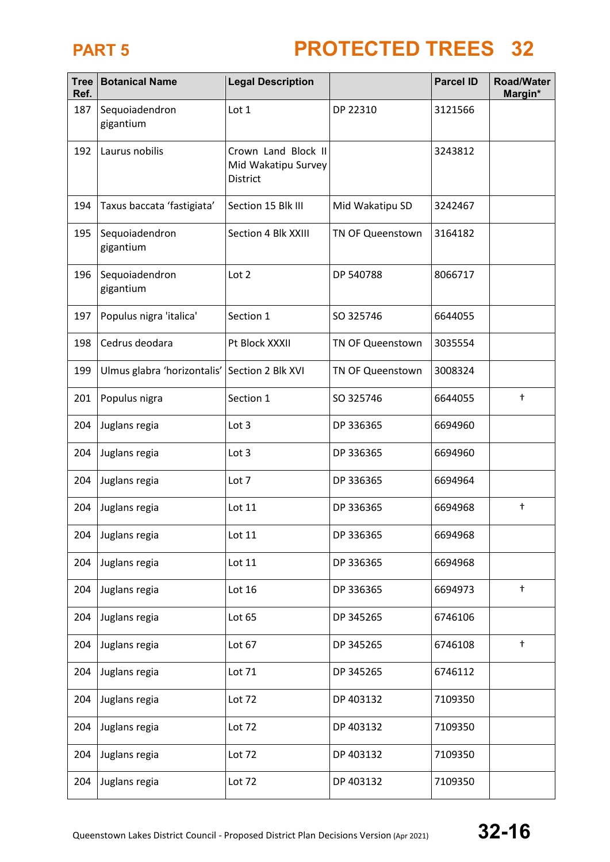| <b>Tree</b><br>Ref. | <b>Botanical Name</b>       | <b>Legal Description</b>                               |                  | <b>Parcel ID</b> | <b>Road/Water</b><br>Margin* |
|---------------------|-----------------------------|--------------------------------------------------------|------------------|------------------|------------------------------|
| 187                 | Sequoiadendron<br>gigantium | Lot 1                                                  | DP 22310         | 3121566          |                              |
| 192                 | Laurus nobilis              | Crown Land Block II<br>Mid Wakatipu Survey<br>District |                  | 3243812          |                              |
| 194                 | Taxus baccata 'fastigiata'  | Section 15 Blk III                                     | Mid Wakatipu SD  | 3242467          |                              |
| 195                 | Sequoiadendron<br>gigantium | Section 4 Blk XXIII                                    | TN OF Queenstown | 3164182          |                              |
| 196                 | Sequoiadendron<br>gigantium | Lot 2                                                  | DP 540788        | 8066717          |                              |
| 197                 | Populus nigra 'italica'     | Section 1                                              | SO 325746        | 6644055          |                              |
| 198                 | Cedrus deodara              | Pt Block XXXII                                         | TN OF Queenstown | 3035554          |                              |
| 199                 | Ulmus glabra 'horizontalis' | Section 2 Blk XVI                                      | TN OF Queenstown | 3008324          |                              |
| 201                 | Populus nigra               | Section 1                                              | SO 325746        | 6644055          | $^\dagger$                   |
| 204                 | Juglans regia               | Lot 3                                                  | DP 336365        | 6694960          |                              |
| 204                 | Juglans regia               | Lot 3                                                  | DP 336365        | 6694960          |                              |
| 204                 | Juglans regia               | Lot 7                                                  | DP 336365        | 6694964          |                              |
| 204                 | Juglans regia               | Lot 11                                                 | DP 336365        | 6694968          | $^\mathrm{+}$                |
| 204                 | Juglans regia               | Lot 11                                                 | DP 336365        | 6694968          |                              |
| 204                 | Juglans regia               | Lot 11                                                 | DP 336365        | 6694968          |                              |
| 204                 | Juglans regia               | Lot 16                                                 | DP 336365        | 6694973          | $\ddagger$                   |
| 204                 | Juglans regia               | Lot 65                                                 | DP 345265        | 6746106          |                              |
| 204                 | Juglans regia               | Lot 67                                                 | DP 345265        | 6746108          | $^\dagger$                   |
| 204                 | Juglans regia               | Lot 71                                                 | DP 345265        | 6746112          |                              |
| 204                 | Juglans regia               | Lot 72                                                 | DP 403132        | 7109350          |                              |
| 204                 | Juglans regia               | Lot 72                                                 | DP 403132        | 7109350          |                              |
| 204                 | Juglans regia               | Lot 72                                                 | DP 403132        | 7109350          |                              |
| 204                 | Juglans regia               | Lot 72                                                 | DP 403132        | 7109350          |                              |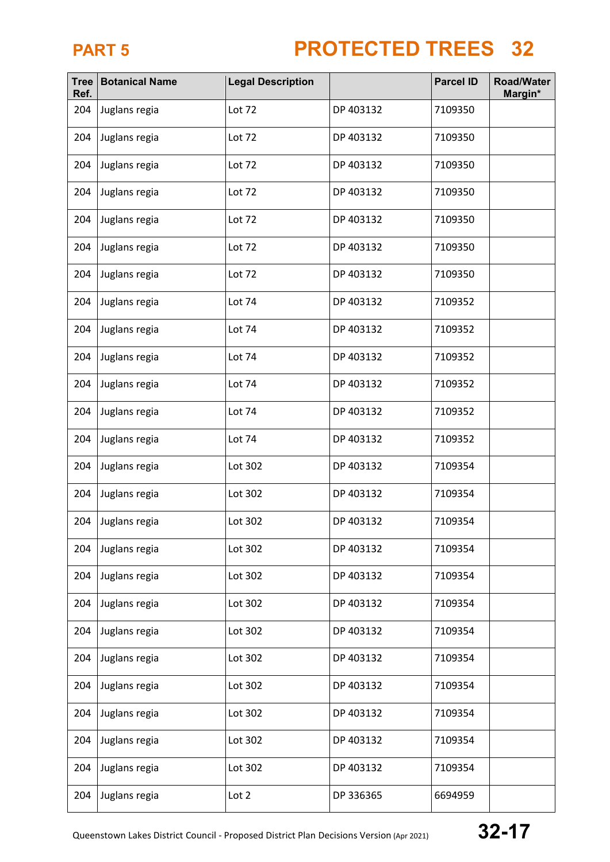| <b>Tree</b><br>Ref. | <b>Botanical Name</b> | <b>Legal Description</b> |           | <b>Parcel ID</b> | <b>Road/Water</b><br>Margin* |
|---------------------|-----------------------|--------------------------|-----------|------------------|------------------------------|
| 204                 | Juglans regia         | Lot 72                   | DP 403132 | 7109350          |                              |
| 204                 | Juglans regia         | Lot 72                   | DP 403132 | 7109350          |                              |
| 204                 | Juglans regia         | Lot 72                   | DP 403132 | 7109350          |                              |
| 204                 | Juglans regia         | Lot 72                   | DP 403132 | 7109350          |                              |
| 204                 | Juglans regia         | Lot 72                   | DP 403132 | 7109350          |                              |
| 204                 | Juglans regia         | Lot 72                   | DP 403132 | 7109350          |                              |
| 204                 | Juglans regia         | Lot 72                   | DP 403132 | 7109350          |                              |
| 204                 | Juglans regia         | Lot 74                   | DP 403132 | 7109352          |                              |
| 204                 | Juglans regia         | Lot 74                   | DP 403132 | 7109352          |                              |
| 204                 | Juglans regia         | Lot 74                   | DP 403132 | 7109352          |                              |
| 204                 | Juglans regia         | Lot 74                   | DP 403132 | 7109352          |                              |
| 204                 | Juglans regia         | Lot 74                   | DP 403132 | 7109352          |                              |
| 204                 | Juglans regia         | Lot 74                   | DP 403132 | 7109352          |                              |
| 204                 | Juglans regia         | Lot 302                  | DP 403132 | 7109354          |                              |
| 204                 | Juglans regia         | Lot 302                  | DP 403132 | 7109354          |                              |
| 204                 | Juglans regia         | Lot 302                  | DP 403132 | 7109354          |                              |
| 204                 | Juglans regia         | Lot 302                  | DP 403132 | 7109354          |                              |
| 204                 | Juglans regia         | Lot 302                  | DP 403132 | 7109354          |                              |
| 204                 | Juglans regia         | Lot 302                  | DP 403132 | 7109354          |                              |
| 204                 | Juglans regia         | Lot 302                  | DP 403132 | 7109354          |                              |
| 204                 | Juglans regia         | Lot 302                  | DP 403132 | 7109354          |                              |
| 204                 | Juglans regia         | Lot 302                  | DP 403132 | 7109354          |                              |
| 204                 | Juglans regia         | Lot 302                  | DP 403132 | 7109354          |                              |
| 204                 | Juglans regia         | Lot 302                  | DP 403132 | 7109354          |                              |
| 204                 | Juglans regia         | Lot 302                  | DP 403132 | 7109354          |                              |
| 204                 | Juglans regia         | Lot 2                    | DP 336365 | 6694959          |                              |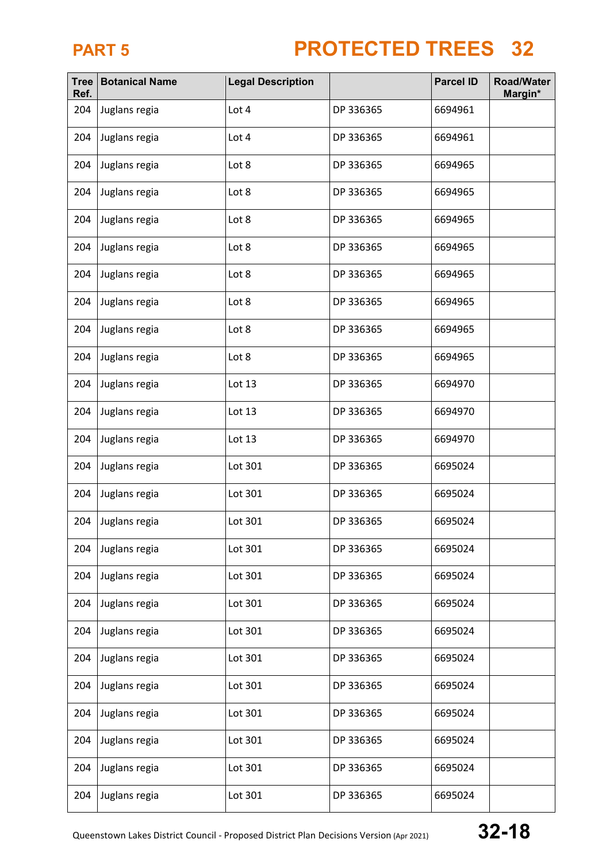| <b>Tree</b><br>Ref. | <b>Botanical Name</b> | <b>Legal Description</b> |           | <b>Parcel ID</b> | <b>Road/Water</b><br>Margin* |
|---------------------|-----------------------|--------------------------|-----------|------------------|------------------------------|
| 204                 | Juglans regia         | Lot 4                    | DP 336365 | 6694961          |                              |
| 204                 | Juglans regia         | Lot 4                    | DP 336365 | 6694961          |                              |
| 204                 | Juglans regia         | Lot 8                    | DP 336365 | 6694965          |                              |
| 204                 | Juglans regia         | Lot 8                    | DP 336365 | 6694965          |                              |
| 204                 | Juglans regia         | Lot 8                    | DP 336365 | 6694965          |                              |
| 204                 | Juglans regia         | Lot 8                    | DP 336365 | 6694965          |                              |
| 204                 | Juglans regia         | Lot 8                    | DP 336365 | 6694965          |                              |
| 204                 | Juglans regia         | Lot 8                    | DP 336365 | 6694965          |                              |
| 204                 | Juglans regia         | Lot 8                    | DP 336365 | 6694965          |                              |
| 204                 | Juglans regia         | Lot 8                    | DP 336365 | 6694965          |                              |
| 204                 | Juglans regia         | Lot 13                   | DP 336365 | 6694970          |                              |
| 204                 | Juglans regia         | Lot 13                   | DP 336365 | 6694970          |                              |
| 204                 | Juglans regia         | Lot 13                   | DP 336365 | 6694970          |                              |
| 204                 | Juglans regia         | Lot 301                  | DP 336365 | 6695024          |                              |
| 204                 | Juglans regia         | Lot 301                  | DP 336365 | 6695024          |                              |
| 204                 | Juglans regia         | Lot 301                  | DP 336365 | 6695024          |                              |
| 204                 | Juglans regia         | Lot 301                  | DP 336365 | 6695024          |                              |
| 204                 | Juglans regia         | Lot 301                  | DP 336365 | 6695024          |                              |
| 204                 | Juglans regia         | Lot 301                  | DP 336365 | 6695024          |                              |
| 204                 | Juglans regia         | Lot 301                  | DP 336365 | 6695024          |                              |
| 204                 | Juglans regia         | Lot 301                  | DP 336365 | 6695024          |                              |
| 204                 | Juglans regia         | Lot 301                  | DP 336365 | 6695024          |                              |
| 204                 | Juglans regia         | Lot 301                  | DP 336365 | 6695024          |                              |
| 204                 | Juglans regia         | Lot 301                  | DP 336365 | 6695024          |                              |
| 204                 | Juglans regia         | Lot 301                  | DP 336365 | 6695024          |                              |
| 204                 | Juglans regia         | Lot 301                  | DP 336365 | 6695024          |                              |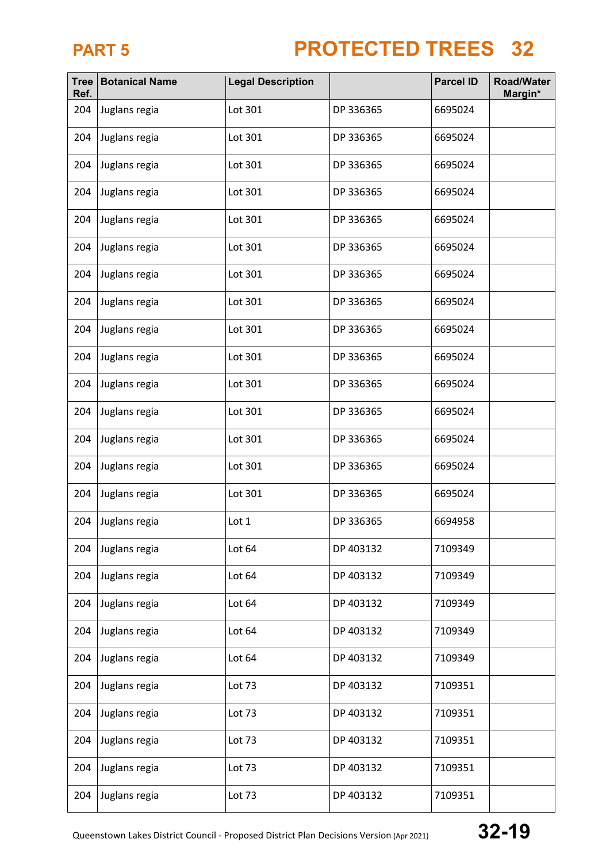| <b>Tree</b><br>Ref. | <b>Botanical Name</b> | <b>Legal Description</b> |           | <b>Parcel ID</b> | <b>Road/Water</b><br>Margin* |
|---------------------|-----------------------|--------------------------|-----------|------------------|------------------------------|
| 204                 | Juglans regia         | Lot 301                  | DP 336365 | 6695024          |                              |
| 204                 | Juglans regia         | Lot 301                  | DP 336365 | 6695024          |                              |
| 204                 | Juglans regia         | Lot 301                  | DP 336365 | 6695024          |                              |
| 204                 | Juglans regia         | Lot 301                  | DP 336365 | 6695024          |                              |
| 204                 | Juglans regia         | Lot 301                  | DP 336365 | 6695024          |                              |
| 204                 | Juglans regia         | Lot 301                  | DP 336365 | 6695024          |                              |
| 204                 | Juglans regia         | Lot 301                  | DP 336365 | 6695024          |                              |
| 204                 | Juglans regia         | Lot 301                  | DP 336365 | 6695024          |                              |
| 204                 | Juglans regia         | Lot 301                  | DP 336365 | 6695024          |                              |
| 204                 | Juglans regia         | Lot 301                  | DP 336365 | 6695024          |                              |
| 204                 | Juglans regia         | Lot 301                  | DP 336365 | 6695024          |                              |
| 204                 | Juglans regia         | Lot 301                  | DP 336365 | 6695024          |                              |
| 204                 | Juglans regia         | Lot 301                  | DP 336365 | 6695024          |                              |
| 204                 | Juglans regia         | Lot 301                  | DP 336365 | 6695024          |                              |
| 204                 | Juglans regia         | Lot 301                  | DP 336365 | 6695024          |                              |
| 204                 | Juglans regia         | Lot 1                    | DP 336365 | 6694958          |                              |
| 204                 | Juglans regia         | Lot 64                   | DP 403132 | 7109349          |                              |
| 204                 | Juglans regia         | Lot 64                   | DP 403132 | 7109349          |                              |
| 204                 | Juglans regia         | Lot 64                   | DP 403132 | 7109349          |                              |
| 204                 | Juglans regia         | Lot 64                   | DP 403132 | 7109349          |                              |
| 204                 | Juglans regia         | Lot 64                   | DP 403132 | 7109349          |                              |
| 204                 | Juglans regia         | Lot 73                   | DP 403132 | 7109351          |                              |
| 204                 | Juglans regia         | Lot 73                   | DP 403132 | 7109351          |                              |
| 204                 | Juglans regia         | Lot 73                   | DP 403132 | 7109351          |                              |
| 204                 | Juglans regia         | Lot 73                   | DP 403132 | 7109351          |                              |
| 204                 | Juglans regia         | Lot 73                   | DP 403132 | 7109351          |                              |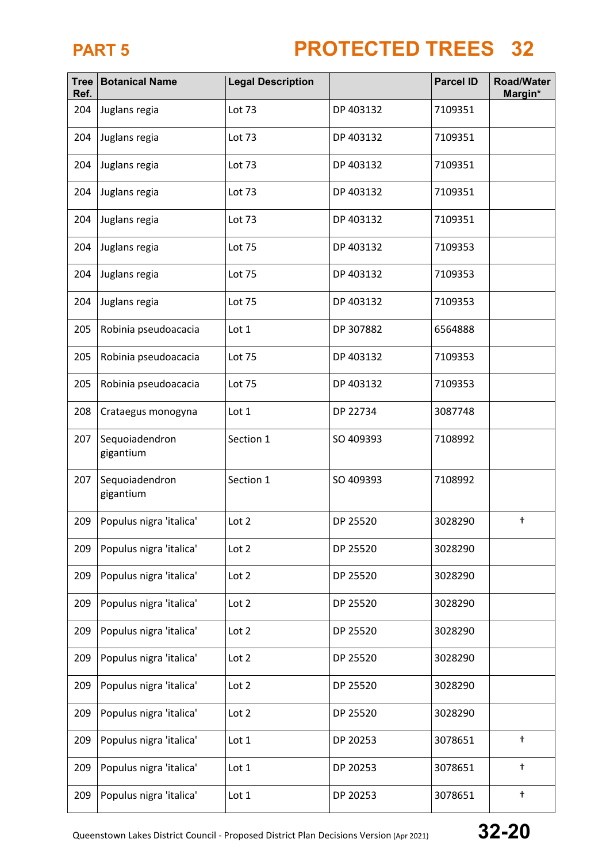| <b>Tree</b><br>Ref. | <b>Botanical Name</b>       | <b>Legal Description</b> |           | <b>Parcel ID</b> | <b>Road/Water</b><br>Margin* |
|---------------------|-----------------------------|--------------------------|-----------|------------------|------------------------------|
| 204                 | Juglans regia               | Lot 73                   | DP 403132 | 7109351          |                              |
| 204                 | Juglans regia               | Lot 73                   | DP 403132 | 7109351          |                              |
| 204                 | Juglans regia               | Lot 73                   | DP 403132 | 7109351          |                              |
| 204                 | Juglans regia               | Lot 73                   | DP 403132 | 7109351          |                              |
| 204                 | Juglans regia               | Lot 73                   | DP 403132 | 7109351          |                              |
| 204                 | Juglans regia               | Lot 75                   | DP 403132 | 7109353          |                              |
| 204                 | Juglans regia               | Lot 75                   | DP 403132 | 7109353          |                              |
| 204                 | Juglans regia               | <b>Lot 75</b>            | DP 403132 | 7109353          |                              |
| 205                 | Robinia pseudoacacia        | Lot 1                    | DP 307882 | 6564888          |                              |
| 205                 | Robinia pseudoacacia        | <b>Lot 75</b>            | DP 403132 | 7109353          |                              |
| 205                 | Robinia pseudoacacia        | Lot 75                   | DP 403132 | 7109353          |                              |
| 208                 | Crataegus monogyna          | Lot 1                    | DP 22734  | 3087748          |                              |
| 207                 | Sequoiadendron<br>gigantium | Section 1                | SO 409393 | 7108992          |                              |
| 207                 | Sequoiadendron<br>gigantium | Section 1                | SO 409393 | 7108992          |                              |
| 209                 | Populus nigra 'italica'     | Lot 2                    | DP 25520  | 3028290          | $^\mathrm{+}$                |
| 209                 | Populus nigra 'italica'     | Lot 2                    | DP 25520  | 3028290          |                              |
| 209                 | Populus nigra 'italica'     | Lot 2                    | DP 25520  | 3028290          |                              |
| 209                 | Populus nigra 'italica'     | Lot 2                    | DP 25520  | 3028290          |                              |
| 209                 | Populus nigra 'italica'     | Lot 2                    | DP 25520  | 3028290          |                              |
| 209                 | Populus nigra 'italica'     | Lot 2                    | DP 25520  | 3028290          |                              |
| 209                 | Populus nigra 'italica'     | Lot 2                    | DP 25520  | 3028290          |                              |
| 209                 | Populus nigra 'italica'     | Lot 2                    | DP 25520  | 3028290          |                              |
| 209                 | Populus nigra 'italica'     | Lot 1                    | DP 20253  | 3078651          | $^\dagger$                   |
| 209                 | Populus nigra 'italica'     | Lot 1                    | DP 20253  | 3078651          | $^\dagger$                   |
| 209                 | Populus nigra 'italica'     | Lot 1                    | DP 20253  | 3078651          | $^\dagger$                   |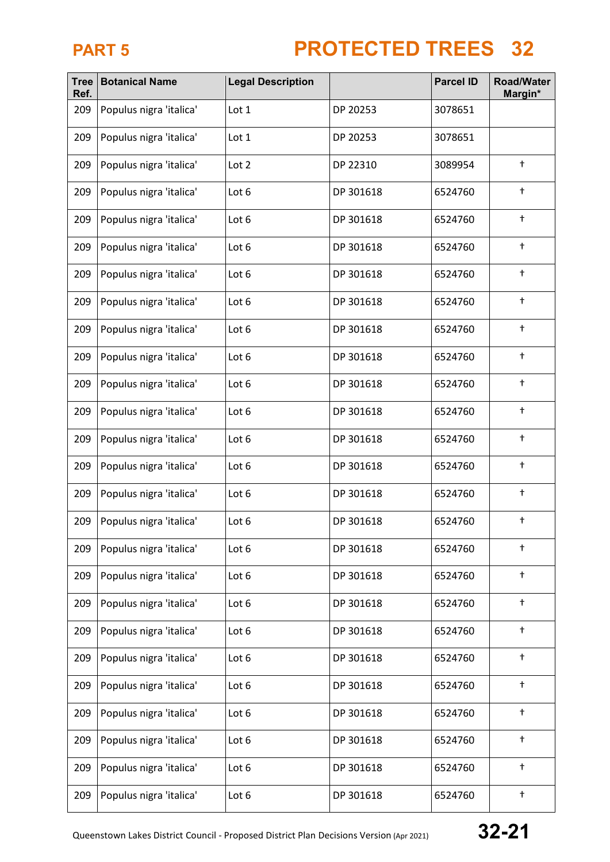| <b>Tree</b><br>Ref. | <b>Botanical Name</b>   | <b>Legal Description</b> |           | <b>Parcel ID</b> | <b>Road/Water</b><br>Margin* |
|---------------------|-------------------------|--------------------------|-----------|------------------|------------------------------|
| 209                 | Populus nigra 'italica' | Lot 1                    | DP 20253  | 3078651          |                              |
| 209                 | Populus nigra 'italica' | Lot 1                    | DP 20253  | 3078651          |                              |
| 209                 | Populus nigra 'italica' | Lot 2                    | DP 22310  | 3089954          | $^\dagger$                   |
| 209                 | Populus nigra 'italica' | Lot 6                    | DP 301618 | 6524760          | $^\dagger$                   |
| 209                 | Populus nigra 'italica' | Lot 6                    | DP 301618 | 6524760          | $^\dagger$                   |
| 209                 | Populus nigra 'italica' | Lot 6                    | DP 301618 | 6524760          | $\ddagger$                   |
| 209                 | Populus nigra 'italica' | Lot 6                    | DP 301618 | 6524760          | $^\dagger$                   |
| 209                 | Populus nigra 'italica' | Lot 6                    | DP 301618 | 6524760          | $^\dagger$                   |
| 209                 | Populus nigra 'italica' | Lot 6                    | DP 301618 | 6524760          | $^\dagger$                   |
| 209                 | Populus nigra 'italica' | Lot 6                    | DP 301618 | 6524760          | $^\dagger$                   |
| 209                 | Populus nigra 'italica' | Lot 6                    | DP 301618 | 6524760          | $^\dagger$                   |
| 209                 | Populus nigra 'italica' | Lot 6                    | DP 301618 | 6524760          | $^\dagger$                   |
| 209                 | Populus nigra 'italica' | Lot 6                    | DP 301618 | 6524760          | $^\dagger$                   |
| 209                 | Populus nigra 'italica' | Lot 6                    | DP 301618 | 6524760          | $\ddagger$                   |
| 209                 | Populus nigra 'italica' | Lot 6                    | DP 301618 | 6524760          | $^\dagger$                   |
| 209                 | Populus nigra 'italica' | Lot 6                    | DP 301618 | 6524760          | $^\dagger$                   |
| 209                 | Populus nigra 'italica' | Lot 6                    | DP 301618 | 6524760          | $^\dagger$                   |
| 209                 | Populus nigra 'italica' | Lot 6                    | DP 301618 | 6524760          | $^\dagger$                   |
| 209                 | Populus nigra 'italica' | Lot 6                    | DP 301618 | 6524760          | $^\dagger$                   |
| 209                 | Populus nigra 'italica' | Lot 6                    | DP 301618 | 6524760          | $^\dagger$                   |
| 209                 | Populus nigra 'italica' | Lot 6                    | DP 301618 | 6524760          | $\ddagger$                   |
| 209                 | Populus nigra 'italica' | Lot 6                    | DP 301618 | 6524760          | $^\dagger$                   |
| 209                 | Populus nigra 'italica' | Lot 6                    | DP 301618 | 6524760          | $^\dagger$                   |
| 209                 | Populus nigra 'italica' | Lot 6                    | DP 301618 | 6524760          | $^\dagger$                   |
| 209                 | Populus nigra 'italica' | Lot 6                    | DP 301618 | 6524760          | $\ddagger$                   |
| 209                 | Populus nigra 'italica' | Lot 6                    | DP 301618 | 6524760          | $^\dagger$                   |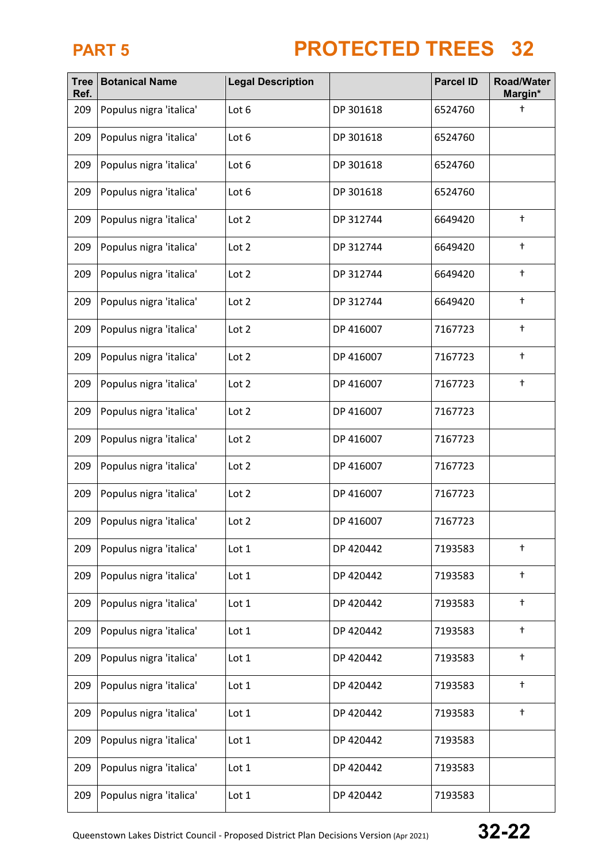| <b>Tree</b><br>Ref. | <b>Botanical Name</b>   | <b>Legal Description</b> |           | <b>Parcel ID</b> | <b>Road/Water</b><br>Margin* |
|---------------------|-------------------------|--------------------------|-----------|------------------|------------------------------|
| 209                 | Populus nigra 'italica' | Lot 6                    | DP 301618 | 6524760          | t                            |
| 209                 | Populus nigra 'italica' | Lot 6                    | DP 301618 | 6524760          |                              |
| 209                 | Populus nigra 'italica' | Lot 6                    | DP 301618 | 6524760          |                              |
| 209                 | Populus nigra 'italica' | Lot 6                    | DP 301618 | 6524760          |                              |
| 209                 | Populus nigra 'italica' | Lot 2                    | DP 312744 | 6649420          | $^\dagger$                   |
| 209                 | Populus nigra 'italica' | Lot 2                    | DP 312744 | 6649420          | $^\dagger$                   |
| 209                 | Populus nigra 'italica' | Lot 2                    | DP 312744 | 6649420          | $^\mathrm{+}$                |
| 209                 | Populus nigra 'italica' | Lot 2                    | DP 312744 | 6649420          | $^\dagger$                   |
| 209                 | Populus nigra 'italica' | Lot 2                    | DP 416007 | 7167723          | $^\dagger$                   |
| 209                 | Populus nigra 'italica' | Lot 2                    | DP 416007 | 7167723          | $\ddagger$                   |
| 209                 | Populus nigra 'italica' | Lot 2                    | DP 416007 | 7167723          | $^\dagger$                   |
| 209                 | Populus nigra 'italica' | Lot 2                    | DP 416007 | 7167723          |                              |
| 209                 | Populus nigra 'italica' | Lot 2                    | DP 416007 | 7167723          |                              |
| 209                 | Populus nigra 'italica' | Lot 2                    | DP 416007 | 7167723          |                              |
| 209                 | Populus nigra 'italica' | Lot 2                    | DP 416007 | 7167723          |                              |
| 209                 | Populus nigra 'italica' | Lot 2                    | DP 416007 | 7167723          |                              |
| 209                 | Populus nigra 'italica' | Lot 1                    | DP 420442 | 7193583          | $\ddagger$                   |
| 209                 | Populus nigra 'italica' | Lot 1                    | DP 420442 | 7193583          | $^\dagger$                   |
| 209                 | Populus nigra 'italica' | Lot 1                    | DP 420442 | 7193583          | $\ddagger$                   |
| 209                 | Populus nigra 'italica' | Lot 1                    | DP 420442 | 7193583          | $\ddagger$                   |
| 209                 | Populus nigra 'italica' | Lot 1                    | DP 420442 | 7193583          | $\ddagger$                   |
| 209                 | Populus nigra 'italica' | Lot 1                    | DP 420442 | 7193583          | $^\dagger$                   |
| 209                 | Populus nigra 'italica' | Lot 1                    | DP 420442 | 7193583          | $\ddagger$                   |
| 209                 | Populus nigra 'italica' | Lot 1                    | DP 420442 | 7193583          |                              |
| 209                 | Populus nigra 'italica' | Lot 1                    | DP 420442 | 7193583          |                              |
| 209                 | Populus nigra 'italica' | Lot 1                    | DP 420442 | 7193583          |                              |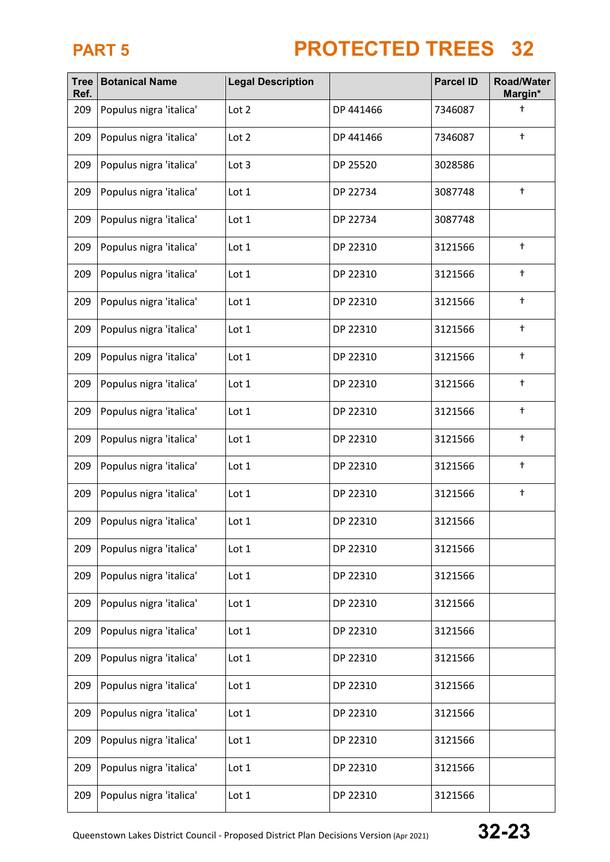| <b>Tree</b><br>Ref. | <b>Botanical Name</b>   | <b>Legal Description</b> |           | <b>Parcel ID</b> | <b>Road/Water</b><br>Margin* |
|---------------------|-------------------------|--------------------------|-----------|------------------|------------------------------|
| 209                 | Populus nigra 'italica' | Lot 2                    | DP 441466 | 7346087          | t                            |
| 209                 | Populus nigra 'italica' | Lot 2                    | DP 441466 | 7346087          | $\ddagger$                   |
| 209                 | Populus nigra 'italica' | Lot 3                    | DP 25520  | 3028586          |                              |
| 209                 | Populus nigra 'italica' | Lot 1                    | DP 22734  | 3087748          | $\ddagger$                   |
| 209                 | Populus nigra 'italica' | Lot 1                    | DP 22734  | 3087748          |                              |
| 209                 | Populus nigra 'italica' | Lot 1                    | DP 22310  | 3121566          | $^\dagger$                   |
| 209                 | Populus nigra 'italica' | Lot 1                    | DP 22310  | 3121566          | $^\mathrm{+}$                |
| 209                 | Populus nigra 'italica' | Lot 1                    | DP 22310  | 3121566          | $\ddagger$                   |
| 209                 | Populus nigra 'italica' | Lot 1                    | DP 22310  | 3121566          | $^\dagger$                   |
| 209                 | Populus nigra 'italica' | Lot 1                    | DP 22310  | 3121566          | $\ddagger$                   |
| 209                 | Populus nigra 'italica' | Lot 1                    | DP 22310  | 3121566          | $^\dagger$                   |
| 209                 | Populus nigra 'italica' | Lot 1                    | DP 22310  | 3121566          | $^\dagger$                   |
| 209                 | Populus nigra 'italica' | Lot 1                    | DP 22310  | 3121566          | $^\dagger$                   |
| 209                 | Populus nigra 'italica' | Lot 1                    | DP 22310  | 3121566          | $^\dagger$                   |
| 209                 | Populus nigra 'italica' | Lot 1                    | DP 22310  | 3121566          | $\ddagger$                   |
| 209                 | Populus nigra 'italica' | Lot 1                    | DP 22310  | 3121566          |                              |
| 209                 | Populus nigra 'italica' | Lot 1                    | DP 22310  | 3121566          |                              |
| 209                 | Populus nigra 'italica' | Lot 1                    | DP 22310  | 3121566          |                              |
| 209                 | Populus nigra 'italica' | Lot 1                    | DP 22310  | 3121566          |                              |
| 209                 | Populus nigra 'italica' | Lot 1                    | DP 22310  | 3121566          |                              |
| 209                 | Populus nigra 'italica' | Lot 1                    | DP 22310  | 3121566          |                              |
| 209                 | Populus nigra 'italica' | Lot 1                    | DP 22310  | 3121566          |                              |
| 209                 | Populus nigra 'italica' | Lot 1                    | DP 22310  | 3121566          |                              |
| 209                 | Populus nigra 'italica' | Lot 1                    | DP 22310  | 3121566          |                              |
| 209                 | Populus nigra 'italica' | Lot 1                    | DP 22310  | 3121566          |                              |
| 209                 | Populus nigra 'italica' | Lot 1                    | DP 22310  | 3121566          |                              |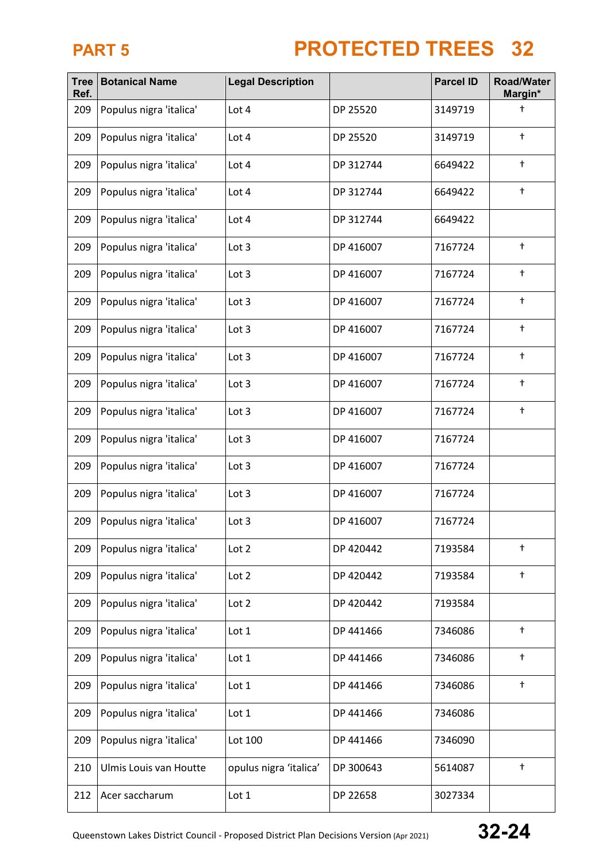| <b>Tree</b><br>Ref. | <b>Botanical Name</b>   | <b>Legal Description</b> |           | <b>Parcel ID</b> | <b>Road/Water</b><br>Margin* |  |
|---------------------|-------------------------|--------------------------|-----------|------------------|------------------------------|--|
| 209                 | Populus nigra 'italica' | Lot 4                    | DP 25520  | 3149719          | t                            |  |
| 209                 | Populus nigra 'italica' | Lot 4                    | DP 25520  | 3149719          | $\ddagger$                   |  |
| 209                 | Populus nigra 'italica' | Lot 4                    | DP 312744 | 6649422          | $^\dagger$                   |  |
| 209                 | Populus nigra 'italica' | Lot 4                    | DP 312744 | 6649422          | $^\dagger$                   |  |
| 209                 | Populus nigra 'italica' | Lot 4                    | DP 312744 | 6649422          |                              |  |
| 209                 | Populus nigra 'italica' | Lot 3                    | DP 416007 | 7167724          | $^\dagger$                   |  |
| 209                 | Populus nigra 'italica' | Lot 3                    | DP 416007 | 7167724          | $^\mathrm{+}$                |  |
| 209                 | Populus nigra 'italica' | Lot 3                    | DP 416007 | 7167724          | $^\dagger$                   |  |
| 209                 | Populus nigra 'italica' | Lot 3                    | DP 416007 | 7167724          | $^\dagger$                   |  |
| 209                 | Populus nigra 'italica' | Lot 3                    | DP 416007 | 7167724          | $\ddagger$                   |  |
| 209                 | Populus nigra 'italica' | Lot 3                    | DP 416007 | 7167724          | $^\dagger$                   |  |
| 209                 | Populus nigra 'italica' | Lot 3                    | DP 416007 | 7167724          | $^\dagger$                   |  |
| 209                 | Populus nigra 'italica' | Lot 3                    | DP 416007 | 7167724          |                              |  |
| 209                 | Populus nigra 'italica' | Lot 3                    | DP 416007 | 7167724          |                              |  |
| 209                 | Populus nigra 'italica' | Lot 3                    | DP 416007 | 7167724          |                              |  |
| 209                 | Populus nigra 'italica' | Lot 3                    | DP 416007 | 7167724          |                              |  |
| 209                 | Populus nigra 'italica' | Lot 2                    | DP 420442 | 7193584          | $\ddagger$                   |  |
| 209                 | Populus nigra 'italica' | Lot 2                    | DP 420442 | 7193584          | $^\dagger$                   |  |
| 209                 | Populus nigra 'italica' | Lot 2                    | DP 420442 | 7193584          |                              |  |
| 209                 | Populus nigra 'italica' | Lot 1                    | DP 441466 | 7346086          | $^\dagger$                   |  |
| 209                 | Populus nigra 'italica' | Lot 1                    | DP 441466 | 7346086          | $\ddagger$                   |  |
| 209                 | Populus nigra 'italica' | Lot 1                    | DP 441466 | 7346086          | $^\dagger$                   |  |
| 209                 | Populus nigra 'italica' | Lot 1                    | DP 441466 | 7346086          |                              |  |
| 209                 | Populus nigra 'italica' | Lot 100                  | DP 441466 | 7346090          |                              |  |
| 210                 | Ulmis Louis van Houtte  | opulus nigra 'italica'   | DP 300643 | 5614087          | $^\dagger$                   |  |
| 212                 | Acer saccharum          | Lot 1                    | DP 22658  | 3027334          |                              |  |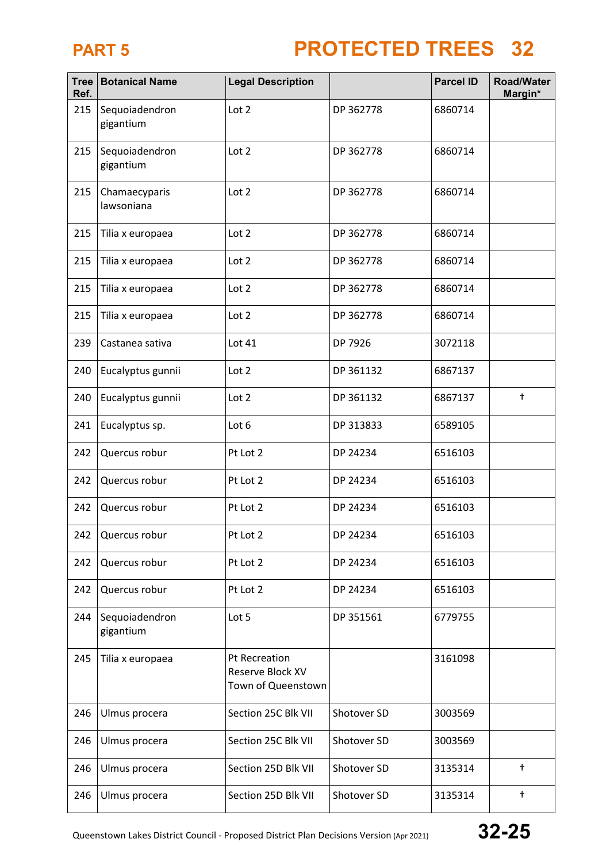| <b>Tree</b><br>Ref. | <b>Botanical Name</b>       | <b>Legal Description</b>                                |             | <b>Parcel ID</b> | <b>Road/Water</b><br>Margin* |
|---------------------|-----------------------------|---------------------------------------------------------|-------------|------------------|------------------------------|
| 215                 | Sequoiadendron<br>gigantium | Lot 2                                                   | DP 362778   | 6860714          |                              |
| 215                 | Sequoiadendron<br>gigantium | Lot 2                                                   | DP 362778   | 6860714          |                              |
| 215                 | Chamaecyparis<br>lawsoniana | Lot 2                                                   | DP 362778   | 6860714          |                              |
| 215                 | Tilia x europaea            | Lot 2                                                   | DP 362778   | 6860714          |                              |
| 215                 | Tilia x europaea            | Lot 2                                                   | DP 362778   | 6860714          |                              |
| 215                 | Tilia x europaea            | Lot 2                                                   | DP 362778   | 6860714          |                              |
| 215                 | Tilia x europaea            | Lot 2                                                   | DP 362778   | 6860714          |                              |
| 239                 | Castanea sativa             | Lot 41                                                  | DP 7926     | 3072118          |                              |
| 240                 | Eucalyptus gunnii           | Lot 2                                                   | DP 361132   | 6867137          |                              |
| 240                 | Eucalyptus gunnii           | Lot 2                                                   | DP 361132   | 6867137          | $^\mathrm{+}$                |
| 241                 | Eucalyptus sp.              | Lot 6                                                   | DP 313833   | 6589105          |                              |
| 242                 | Quercus robur               | Pt Lot 2                                                | DP 24234    | 6516103          |                              |
| 242                 | Quercus robur               | Pt Lot 2                                                | DP 24234    | 6516103          |                              |
| 242                 | Quercus robur               | Pt Lot 2                                                | DP 24234    | 6516103          |                              |
| 242                 | Quercus robur               | Pt Lot 2                                                | DP 24234    | 6516103          |                              |
| 242                 | Quercus robur               | Pt Lot 2                                                | DP 24234    | 6516103          |                              |
| 242                 | Quercus robur               | Pt Lot 2                                                | DP 24234    | 6516103          |                              |
| 244                 | Sequoiadendron<br>gigantium | Lot 5                                                   | DP 351561   | 6779755          |                              |
| 245                 | Tilia x europaea            | Pt Recreation<br>Reserve Block XV<br>Town of Queenstown |             | 3161098          |                              |
| 246                 | Ulmus procera               | Section 25C Blk VII                                     | Shotover SD | 3003569          |                              |
| 246                 | Ulmus procera               | Section 25C Blk VII                                     | Shotover SD | 3003569          |                              |
| 246                 | Ulmus procera               | Section 25D Blk VII                                     | Shotover SD | 3135314          | $^{\dagger}$                 |
| 246                 | Ulmus procera               | Section 25D Blk VII                                     | Shotover SD | 3135314          | $^\mathrm{+}$                |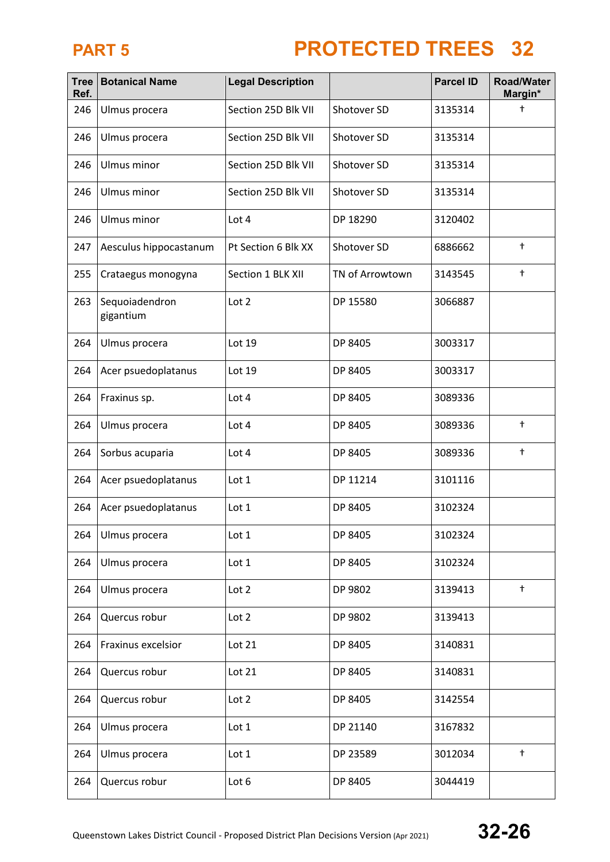| <b>Tree</b><br>Ref. | <b>Botanical Name</b>       | <b>Legal Description</b> |                 | <b>Parcel ID</b> | <b>Road/Water</b><br>Margin* |
|---------------------|-----------------------------|--------------------------|-----------------|------------------|------------------------------|
| 246                 | Ulmus procera               | Section 25D Blk VII      | Shotover SD     | 3135314          | $\ddagger$                   |
| 246                 | Ulmus procera               | Section 25D Blk VII      | Shotover SD     | 3135314          |                              |
| 246                 | Ulmus minor                 | Section 25D Blk VII      | Shotover SD     | 3135314          |                              |
| 246                 | Ulmus minor                 | Section 25D Blk VII      | Shotover SD     | 3135314          |                              |
| 246                 | Ulmus minor                 | Lot 4                    | DP 18290        | 3120402          |                              |
| 247                 | Aesculus hippocastanum      | Pt Section 6 Blk XX      | Shotover SD     | 6886662          | $\ddagger$                   |
| 255                 | Crataegus monogyna          | Section 1 BLK XII        | TN of Arrowtown | 3143545          | $\ddagger$                   |
| 263                 | Sequoiadendron<br>gigantium | Lot 2                    | DP 15580        | 3066887          |                              |
| 264                 | Ulmus procera               | Lot 19                   | DP 8405         | 3003317          |                              |
| 264                 | Acer psuedoplatanus         | Lot 19                   | DP 8405         | 3003317          |                              |
| 264                 | Fraxinus sp.                | Lot 4                    | DP 8405         | 3089336          |                              |
| 264                 | Ulmus procera               | Lot 4                    | DP 8405         | 3089336          | $^\mathrm{+}$                |
| 264                 | Sorbus acuparia             | Lot 4                    | DP 8405         | 3089336          | $\ddagger$                   |
| 264                 | Acer psuedoplatanus         | Lot 1                    | DP 11214        | 3101116          |                              |
| 264                 | Acer psuedoplatanus         | Lot 1                    | DP 8405         | 3102324          |                              |
| 264                 | Ulmus procera               | Lot 1                    | DP 8405         | 3102324          |                              |
| 264                 | Ulmus procera               | Lot 1                    | DP 8405         | 3102324          |                              |
| 264                 | Ulmus procera               | Lot 2                    | DP 9802         | 3139413          | $\ddagger$                   |
| 264                 | Quercus robur               | Lot 2                    | DP 9802         | 3139413          |                              |
| 264                 | Fraxinus excelsior          | Lot 21                   | DP 8405         | 3140831          |                              |
| 264                 | Quercus robur               | Lot 21                   | DP 8405         | 3140831          |                              |
| 264                 | Quercus robur               | Lot 2                    | DP 8405         | 3142554          |                              |
| 264                 | Ulmus procera               | Lot $1$                  | DP 21140        | 3167832          |                              |
| 264                 | Ulmus procera               | Lot 1                    | DP 23589        | 3012034          | $\ddagger$                   |
| 264                 | Quercus robur               | Lot 6                    | DP 8405         | 3044419          |                              |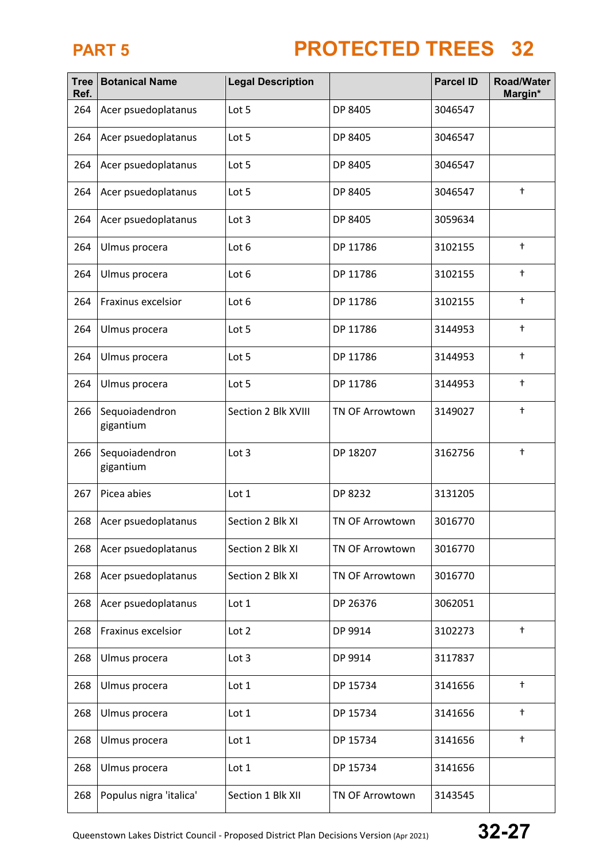| <b>Tree</b><br>Ref. | <b>Botanical Name</b>       | <b>Legal Description</b> |                        | <b>Parcel ID</b> | <b>Road/Water</b><br>Margin* |
|---------------------|-----------------------------|--------------------------|------------------------|------------------|------------------------------|
| 264                 | Acer psuedoplatanus         | Lot 5                    | DP 8405                | 3046547          |                              |
| 264                 | Acer psuedoplatanus         | Lot 5                    | DP 8405                | 3046547          |                              |
| 264                 | Acer psuedoplatanus         | Lot 5                    | DP 8405                | 3046547          |                              |
| 264                 | Acer psuedoplatanus         | Lot 5                    | DP 8405                | 3046547          | $\ddagger$                   |
| 264                 | Acer psuedoplatanus         | Lot 3                    | DP 8405                | 3059634          |                              |
| 264                 | Ulmus procera               | Lot 6                    | DP 11786               | 3102155          | $\ddagger$                   |
| 264                 | Ulmus procera               | Lot 6                    | DP 11786               | 3102155          | $\ddagger$                   |
| 264                 | Fraxinus excelsior          | Lot 6                    | DP 11786               | 3102155          | $\ddagger$                   |
| 264                 | Ulmus procera               | Lot 5                    | DP 11786               | 3144953          | $\ddagger$                   |
| 264                 | Ulmus procera               | Lot 5                    | DP 11786               | 3144953          | $^\dagger$                   |
| 264                 | Ulmus procera               | Lot 5                    | DP 11786               | 3144953          | $^\dagger$                   |
| 266                 | Sequoiadendron<br>gigantium | Section 2 Blk XVIII      | <b>TN OF Arrowtown</b> | 3149027          | $^\dagger$                   |
| 266                 | Sequoiadendron<br>gigantium | Lot 3                    | DP 18207               | 3162756          | $\ddagger$                   |
| 267                 | Picea abies                 | Lot 1                    | DP 8232                | 3131205          |                              |
| 268                 | Acer psuedoplatanus         | Section 2 Blk XI         | <b>TN OF Arrowtown</b> | 3016770          |                              |
| 268                 | Acer psuedoplatanus         | Section 2 Blk XI         | TN OF Arrowtown        | 3016770          |                              |
| 268                 | Acer psuedoplatanus         | Section 2 Blk XI         | <b>TN OF Arrowtown</b> | 3016770          |                              |
| 268                 | Acer psuedoplatanus         | Lot 1                    | DP 26376               | 3062051          |                              |
| 268                 | Fraxinus excelsior          | Lot 2                    | DP 9914                | 3102273          | $^\dagger$                   |
| 268                 | Ulmus procera               | Lot 3                    | DP 9914                | 3117837          |                              |
| 268                 | Ulmus procera               | Lot 1                    | DP 15734               | 3141656          | $^\dagger$                   |
| 268                 | Ulmus procera               | Lot 1                    | DP 15734               | 3141656          | $^\dagger$                   |
| 268                 | Ulmus procera               | Lot 1                    | DP 15734               | 3141656          | $^\dagger$                   |
| 268                 | Ulmus procera               | Lot 1                    | DP 15734               | 3141656          |                              |
| 268                 | Populus nigra 'italica'     | Section 1 Blk XII        | TN OF Arrowtown        | 3143545          |                              |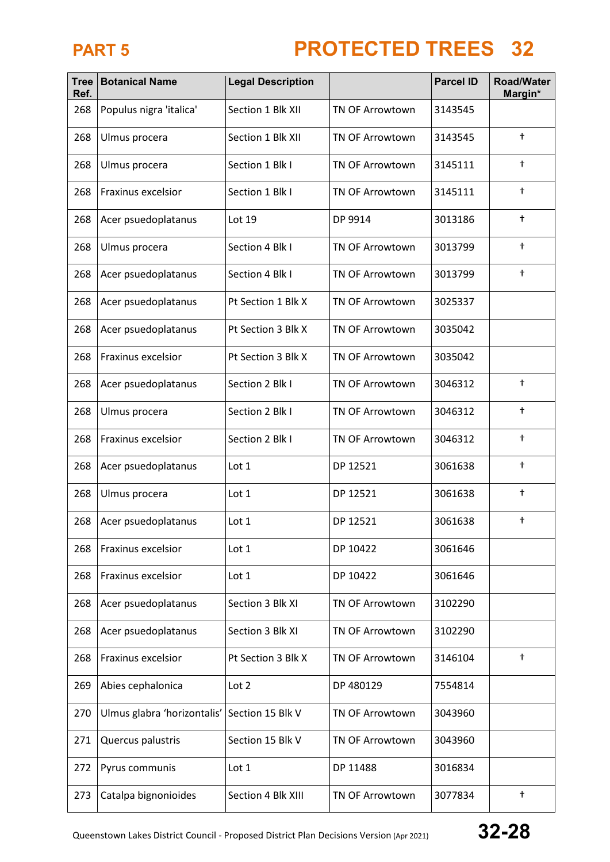| <b>Tree</b><br>Ref. | <b>Botanical Name</b>       | <b>Legal Description</b> |                        | <b>Parcel ID</b><br><b>Road/Water</b><br>Margin* |               |
|---------------------|-----------------------------|--------------------------|------------------------|--------------------------------------------------|---------------|
| 268                 | Populus nigra 'italica'     | Section 1 Blk XII        | <b>TN OF Arrowtown</b> | 3143545                                          |               |
| 268                 | Ulmus procera               | Section 1 Blk XII        | <b>TN OF Arrowtown</b> | 3143545                                          | $\ddagger$    |
| 268                 | Ulmus procera               | Section 1 Blk I          | <b>TN OF Arrowtown</b> | 3145111                                          | $^\dagger$    |
| 268                 | Fraxinus excelsior          | Section 1 Blk I          | <b>TN OF Arrowtown</b> | 3145111                                          | $\ddagger$    |
| 268                 | Acer psuedoplatanus         | Lot 19                   | DP 9914                | 3013186                                          | $^\dagger$    |
| 268                 | Ulmus procera               | Section 4 Blk I          | <b>TN OF Arrowtown</b> | 3013799                                          | $\ddagger$    |
| 268                 | Acer psuedoplatanus         | Section 4 Blk I          | <b>TN OF Arrowtown</b> | 3013799                                          | $\ddagger$    |
| 268                 | Acer psuedoplatanus         | Pt Section 1 Blk X       | <b>TN OF Arrowtown</b> | 3025337                                          |               |
| 268                 | Acer psuedoplatanus         | Pt Section 3 Blk X       | TN OF Arrowtown        | 3035042                                          |               |
| 268                 | Fraxinus excelsior          | Pt Section 3 Blk X       | <b>TN OF Arrowtown</b> | 3035042                                          |               |
| 268                 | Acer psuedoplatanus         | Section 2 Blk I          | <b>TN OF Arrowtown</b> | 3046312                                          | $\ddagger$    |
| 268                 | Ulmus procera               | Section 2 Blk I          | <b>TN OF Arrowtown</b> | 3046312                                          | $\ddagger$    |
| 268                 | Fraxinus excelsior          | Section 2 Blk I          | <b>TN OF Arrowtown</b> | 3046312                                          | $\ddagger$    |
| 268                 | Acer psuedoplatanus         | Lot 1                    | DP 12521               | 3061638                                          | $\ddagger$    |
| 268                 | Ulmus procera               | Lot 1                    | DP 12521               | 3061638                                          | $\ddagger$    |
| 268                 | Acer psuedoplatanus         | Lot 1                    | DP 12521               | 3061638                                          | $^\dagger$    |
| 268                 | Fraxinus excelsior          | Lot 1                    | DP 10422               | 3061646                                          |               |
| 268                 | Fraxinus excelsior          | Lot 1                    | DP 10422               | 3061646                                          |               |
| 268                 | Acer psuedoplatanus         | Section 3 Blk XI         | <b>TN OF Arrowtown</b> | 3102290                                          |               |
| 268                 | Acer psuedoplatanus         | Section 3 Blk XI         | <b>TN OF Arrowtown</b> | 3102290                                          |               |
| 268                 | Fraxinus excelsior          | Pt Section 3 Blk X       | <b>TN OF Arrowtown</b> | 3146104                                          | $\ddagger$    |
| 269                 | Abies cephalonica           | Lot 2                    | DP 480129              | 7554814                                          |               |
| 270                 | Ulmus glabra 'horizontalis' | Section 15 Blk V         | <b>TN OF Arrowtown</b> | 3043960                                          |               |
| 271                 | Quercus palustris           | Section 15 Blk V         | <b>TN OF Arrowtown</b> | 3043960                                          |               |
| 272                 | Pyrus communis              | Lot 1                    | DP 11488               | 3016834                                          |               |
| 273                 | Catalpa bignonioides        | Section 4 Blk XIII       | TN OF Arrowtown        | 3077834                                          | $^\mathrm{+}$ |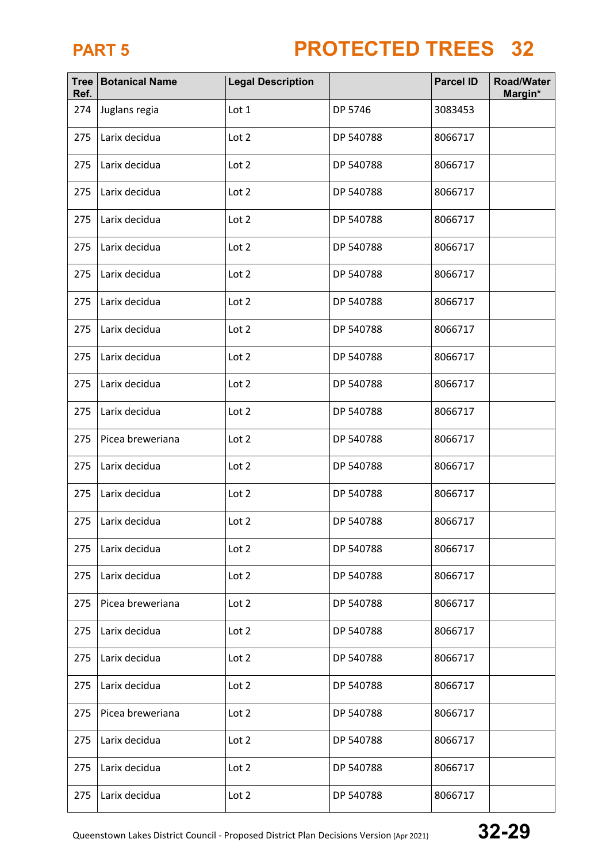| <b>Tree</b><br>Ref. | <b>Botanical Name</b> | <b>Legal Description</b> |           | <b>Parcel ID</b> | <b>Road/Water</b><br>Margin* |
|---------------------|-----------------------|--------------------------|-----------|------------------|------------------------------|
| 274                 | Juglans regia         | Lot 1                    | DP 5746   | 3083453          |                              |
| 275                 | Larix decidua         | Lot 2                    | DP 540788 | 8066717          |                              |
| 275                 | Larix decidua         | Lot 2                    | DP 540788 | 8066717          |                              |
| 275                 | Larix decidua         | Lot 2                    | DP 540788 | 8066717          |                              |
| 275                 | Larix decidua         | Lot 2                    | DP 540788 | 8066717          |                              |
| 275                 | Larix decidua         | Lot 2                    | DP 540788 | 8066717          |                              |
| 275                 | Larix decidua         | Lot 2                    | DP 540788 | 8066717          |                              |
| 275                 | Larix decidua         | Lot 2                    | DP 540788 | 8066717          |                              |
| 275                 | Larix decidua         | Lot 2                    | DP 540788 | 8066717          |                              |
| 275                 | Larix decidua         | Lot 2                    | DP 540788 | 8066717          |                              |
| 275                 | Larix decidua         | Lot 2                    | DP 540788 | 8066717          |                              |
| 275                 | Larix decidua         | Lot 2                    | DP 540788 | 8066717          |                              |
| 275                 | Picea breweriana      | Lot 2                    | DP 540788 | 8066717          |                              |
| 275                 | Larix decidua         | Lot 2                    | DP 540788 | 8066717          |                              |
| 275                 | Larix decidua         | Lot 2                    | DP 540788 | 8066717          |                              |
| 275                 | Larix decidua         | Lot 2                    | DP 540788 | 8066717          |                              |
| 275                 | Larix decidua         | Lot 2                    | DP 540788 | 8066717          |                              |
| 275                 | Larix decidua         | Lot 2                    | DP 540788 | 8066717          |                              |
| 275                 | Picea breweriana      | Lot 2                    | DP 540788 | 8066717          |                              |
| 275                 | Larix decidua         | Lot 2                    | DP 540788 | 8066717          |                              |
| 275                 | Larix decidua         | Lot 2                    | DP 540788 | 8066717          |                              |
| 275                 | Larix decidua         | Lot 2                    | DP 540788 | 8066717          |                              |
| 275                 | Picea breweriana      | Lot 2                    | DP 540788 | 8066717          |                              |
| 275                 | Larix decidua         | Lot 2                    | DP 540788 | 8066717          |                              |
| 275                 | Larix decidua         | Lot 2                    | DP 540788 | 8066717          |                              |
| 275                 | Larix decidua         | Lot 2                    | DP 540788 | 8066717          |                              |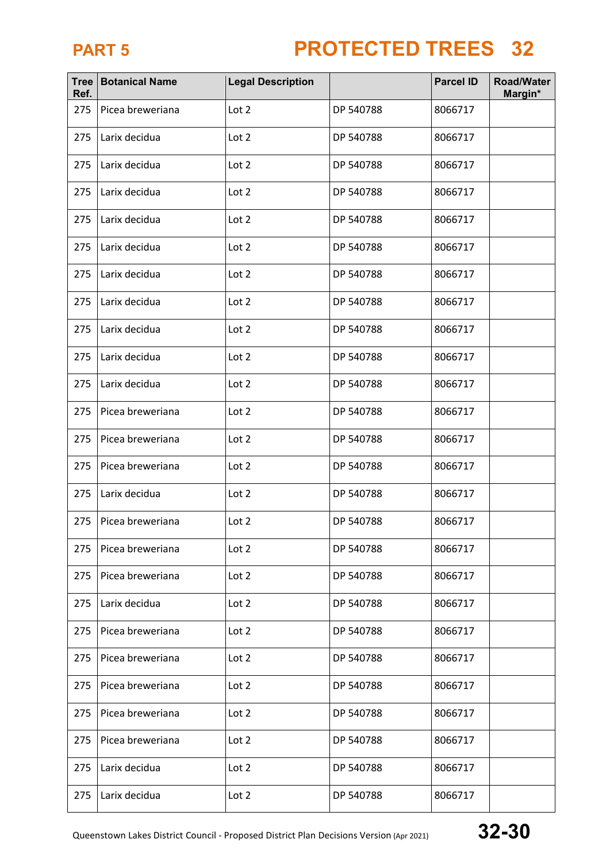| <b>Tree</b><br>Ref. | <b>Botanical Name</b> | <b>Legal Description</b> |           | <b>Parcel ID</b> | <b>Road/Water</b><br>Margin* |
|---------------------|-----------------------|--------------------------|-----------|------------------|------------------------------|
| 275                 | Picea breweriana      | Lot 2                    | DP 540788 | 8066717          |                              |
| 275                 | Larix decidua         | Lot 2                    | DP 540788 | 8066717          |                              |
| 275                 | Larix decidua         | Lot 2                    | DP 540788 | 8066717          |                              |
| 275                 | Larix decidua         | Lot 2                    | DP 540788 | 8066717          |                              |
| 275                 | Larix decidua         | Lot 2                    | DP 540788 | 8066717          |                              |
| 275                 | Larix decidua         | Lot 2                    | DP 540788 | 8066717          |                              |
| 275                 | Larix decidua         | Lot 2                    | DP 540788 | 8066717          |                              |
| 275                 | Larix decidua         | Lot 2                    | DP 540788 | 8066717          |                              |
| 275                 | Larix decidua         | Lot 2                    | DP 540788 | 8066717          |                              |
| 275                 | Larix decidua         | Lot 2                    | DP 540788 | 8066717          |                              |
| 275                 | Larix decidua         | Lot 2                    | DP 540788 | 8066717          |                              |
| 275                 | Picea breweriana      | Lot 2                    | DP 540788 | 8066717          |                              |
| 275                 | Picea breweriana      | Lot 2                    | DP 540788 | 8066717          |                              |
| 275                 | Picea breweriana      | Lot 2                    | DP 540788 | 8066717          |                              |
| 275                 | Larix decidua         | Lot 2                    | DP 540788 | 8066717          |                              |
| 275                 | Picea breweriana      | Lot 2                    | DP 540788 | 8066717          |                              |
| 275                 | Picea breweriana      | Lot 2                    | DP 540788 | 8066717          |                              |
| 275                 | Picea breweriana      | Lot 2                    | DP 540788 | 8066717          |                              |
| 275                 | Larix decidua         | Lot 2                    | DP 540788 | 8066717          |                              |
| 275                 | Picea breweriana      | Lot 2                    | DP 540788 | 8066717          |                              |
| 275                 | Picea breweriana      | Lot 2                    | DP 540788 | 8066717          |                              |
| 275                 | Picea breweriana      | Lot 2                    | DP 540788 | 8066717          |                              |
| 275                 | Picea breweriana      | Lot 2                    | DP 540788 | 8066717          |                              |
| 275                 | Picea breweriana      | Lot 2                    | DP 540788 | 8066717          |                              |
| 275                 | Larix decidua         | Lot 2                    | DP 540788 | 8066717          |                              |
| 275                 | Larix decidua         | Lot 2                    | DP 540788 | 8066717          |                              |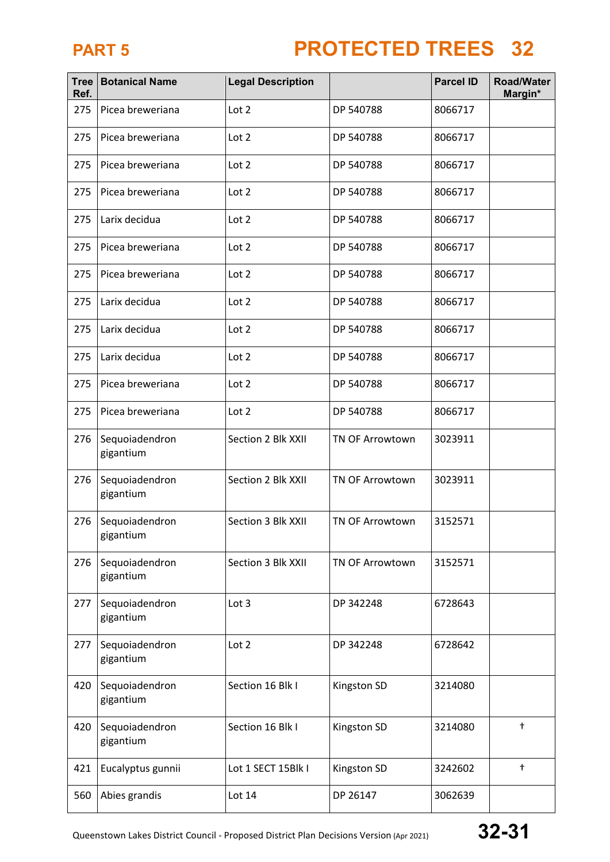| <b>Tree</b><br>Ref. | <b>Botanical Name</b>       | <b>Legal Description</b> |                        | <b>Parcel ID</b> | <b>Road/Water</b><br>Margin* |
|---------------------|-----------------------------|--------------------------|------------------------|------------------|------------------------------|
| 275                 | Picea breweriana            | Lot 2                    | DP 540788              | 8066717          |                              |
| 275                 | Picea breweriana            | Lot 2                    | DP 540788              | 8066717          |                              |
| 275                 | Picea breweriana            | Lot 2                    | DP 540788              | 8066717          |                              |
| 275                 | Picea breweriana            | Lot 2                    | DP 540788              | 8066717          |                              |
| 275                 | Larix decidua               | Lot 2                    | DP 540788              | 8066717          |                              |
| 275                 | Picea breweriana            | Lot 2                    | DP 540788              | 8066717          |                              |
| 275                 | Picea breweriana            | Lot 2                    | DP 540788              | 8066717          |                              |
| 275                 | Larix decidua               | Lot 2                    | DP 540788              | 8066717          |                              |
| 275                 | Larix decidua               | Lot 2                    | DP 540788              | 8066717          |                              |
| 275                 | Larix decidua               | Lot 2                    | DP 540788              | 8066717          |                              |
| 275                 | Picea breweriana            | Lot 2                    | DP 540788              | 8066717          |                              |
| 275                 | Picea breweriana            | Lot 2                    | DP 540788              | 8066717          |                              |
| 276                 | Sequoiadendron<br>gigantium | Section 2 Blk XXII       | <b>TN OF Arrowtown</b> | 3023911          |                              |
| 276                 | Sequoiadendron<br>gigantium | Section 2 Blk XXII       | TN OF Arrowtown        | 3023911          |                              |
| 276                 | Sequoiadendron<br>gigantium | Section 3 Blk XXII       | <b>TN OF Arrowtown</b> | 3152571          |                              |
| 276                 | Sequoiadendron<br>gigantium | Section 3 Blk XXII       | TN OF Arrowtown        | 3152571          |                              |
| 277                 | Sequoiadendron<br>gigantium | Lot 3                    | DP 342248              | 6728643          |                              |
| 277                 | Sequoiadendron<br>gigantium | Lot 2                    | DP 342248              | 6728642          |                              |
| 420                 | Sequoiadendron<br>gigantium | Section 16 Blk I         | Kingston SD            | 3214080          |                              |
| 420                 | Sequoiadendron<br>gigantium | Section 16 Blk I         | Kingston SD            | 3214080          | $\ddagger$                   |
| 421                 | Eucalyptus gunnii           | Lot 1 SECT 15Blk I       | Kingston SD            | 3242602          | $^\dagger$                   |
| 560                 | Abies grandis               | Lot 14                   | DP 26147               | 3062639          |                              |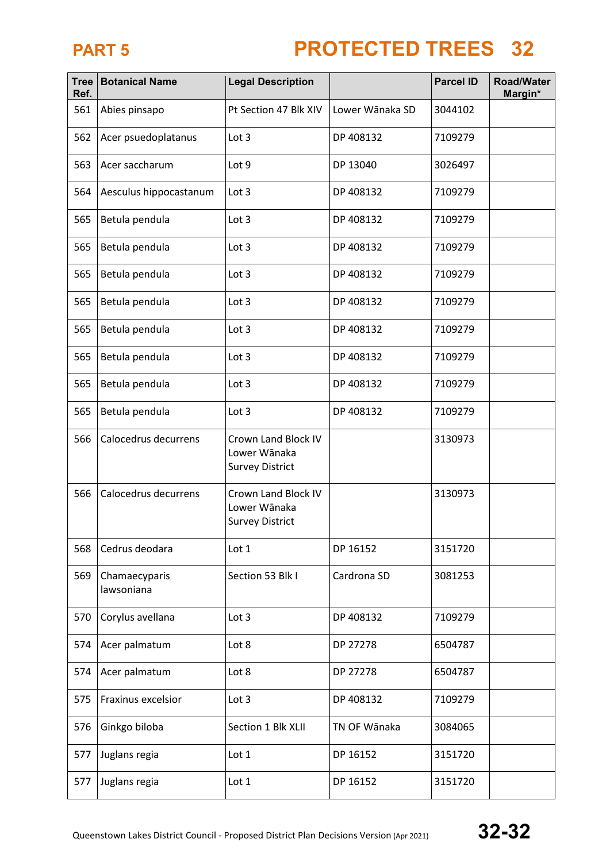| <b>Tree</b><br>Ref. | <b>Botanical Name</b><br><b>Legal Description</b> |                                                               |                 | <b>Parcel ID</b> | <b>Road/Water</b><br>Margin* |
|---------------------|---------------------------------------------------|---------------------------------------------------------------|-----------------|------------------|------------------------------|
| 561                 | Abies pinsapo                                     | Pt Section 47 Blk XIV                                         | Lower Wānaka SD | 3044102          |                              |
| 562                 | Acer psuedoplatanus                               | Lot <sub>3</sub>                                              | DP 408132       | 7109279          |                              |
| 563                 | Acer saccharum                                    | Lot 9                                                         | DP 13040        | 3026497          |                              |
| 564                 | Aesculus hippocastanum                            | Lot 3                                                         | DP 408132       | 7109279          |                              |
| 565                 | Betula pendula                                    | Lot 3                                                         | DP 408132       | 7109279          |                              |
| 565                 | Betula pendula                                    | Lot 3                                                         | DP 408132       | 7109279          |                              |
| 565                 | Betula pendula                                    | Lot 3                                                         | DP 408132       | 7109279          |                              |
| 565                 | Betula pendula                                    | Lot 3                                                         | DP 408132       | 7109279          |                              |
| 565                 | Betula pendula                                    | Lot 3                                                         | DP 408132       | 7109279          |                              |
| 565                 | Betula pendula                                    | Lot 3                                                         | DP 408132       | 7109279          |                              |
| 565                 | Betula pendula                                    | Lot 3                                                         | DP 408132       | 7109279          |                              |
| 565                 | Betula pendula                                    | Lot 3                                                         | DP 408132       | 7109279          |                              |
| 566                 | Calocedrus decurrens                              | Crown Land Block IV<br>Lower Wānaka<br><b>Survey District</b> |                 | 3130973          |                              |
| 566                 | Calocedrus decurrens                              | Crown Land Block IV<br>Lower Wānaka<br><b>Survey District</b> |                 | 3130973          |                              |
| 568                 | Cedrus deodara                                    | Lot 1                                                         | DP 16152        | 3151720          |                              |
| 569                 | Chamaecyparis<br>lawsoniana                       | Section 53 Blk I                                              | Cardrona SD     | 3081253          |                              |
| 570                 | Corylus avellana                                  | Lot 3                                                         | DP 408132       | 7109279          |                              |
| 574                 | Acer palmatum                                     | Lot 8                                                         | DP 27278        | 6504787          |                              |
| 574                 | Acer palmatum                                     | Lot 8                                                         | DP 27278        | 6504787          |                              |
| 575                 | Fraxinus excelsior                                | Lot 3                                                         | DP 408132       | 7109279          |                              |
| 576                 | Ginkgo biloba                                     | Section 1 Blk XLII                                            | TN OF Wānaka    | 3084065          |                              |
| 577                 | Juglans regia                                     | Lot 1                                                         | DP 16152        | 3151720          |                              |
| 577                 | Juglans regia                                     | Lot 1                                                         | DP 16152        | 3151720          |                              |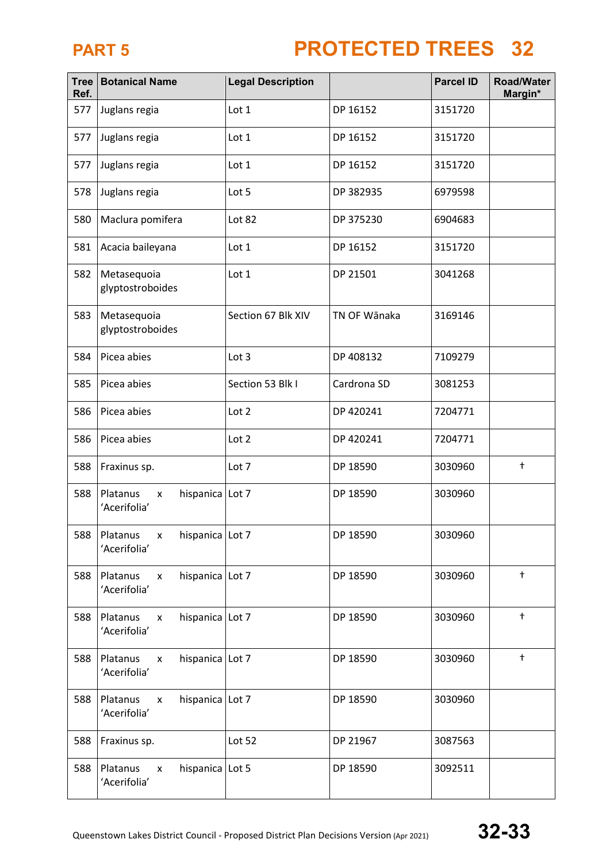| <b>Tree</b><br>Ref. | <b>Botanical Name</b>                                             | <b>Legal Description</b> |              | <b>Parcel ID</b> | <b>Road/Water</b><br>Margin* |
|---------------------|-------------------------------------------------------------------|--------------------------|--------------|------------------|------------------------------|
| 577                 | Juglans regia                                                     | Lot 1                    | DP 16152     | 3151720          |                              |
| 577                 | Juglans regia                                                     | Lot 1                    | DP 16152     | 3151720          |                              |
| 577                 | Juglans regia                                                     | Lot 1                    | DP 16152     | 3151720          |                              |
| 578                 | Juglans regia                                                     | Lot 5                    | DP 382935    | 6979598          |                              |
| 580                 | Maclura pomifera                                                  | Lot 82                   | DP 375230    | 6904683          |                              |
| 581                 | Acacia baileyana                                                  | Lot 1                    | DP 16152     | 3151720          |                              |
| 582                 | Metasequoia<br>glyptostroboides                                   | Lot 1                    | DP 21501     | 3041268          |                              |
| 583                 | Metasequoia<br>glyptostroboides                                   | Section 67 Blk XIV       | TN OF Wānaka | 3169146          |                              |
| 584                 | Picea abies                                                       | Lot 3                    | DP 408132    | 7109279          |                              |
| 585                 | Picea abies                                                       | Section 53 Blk I         | Cardrona SD  | 3081253          |                              |
| 586                 | Picea abies                                                       | Lot 2                    | DP 420241    | 7204771          |                              |
| 586                 | Picea abies                                                       | Lot 2                    | DP 420241    | 7204771          |                              |
| 588                 | Fraxinus sp.                                                      | Lot 7                    | DP 18590     | 3030960          | $\ddagger$                   |
| 588                 | Platanus<br>hispanica Lot 7<br>x<br>'Acerifolia'                  |                          | DP 18590     | 3030960          |                              |
| 588                 | hispanica Lot 7<br>Platanus<br>$\pmb{\mathsf{x}}$<br>'Acerifolia' |                          | DP 18590     | 3030960          |                              |
| 588                 | hispanica Lot 7<br>Platanus<br>$\pmb{\mathsf{X}}$<br>'Acerifolia' |                          | DP 18590     | 3030960          | $\ddagger$                   |
| 588                 | hispanica Lot 7<br>Platanus<br>x<br>'Acerifolia'                  |                          | DP 18590     | 3030960          | $^\mathrm{+}$                |
| 588                 | hispanica Lot 7<br>Platanus<br>X<br>'Acerifolia'                  |                          | DP 18590     | 3030960          | $^\mathrm{+}$                |
| 588                 | hispanica Lot 7<br>Platanus<br>$\pmb{\mathsf{X}}$<br>'Acerifolia' |                          | DP 18590     | 3030960          |                              |
| 588                 | Fraxinus sp.                                                      | Lot 52                   | DP 21967     | 3087563          |                              |
| 588                 | Platanus<br>hispanica   Lot 5<br>x<br>'Acerifolia'                |                          | DP 18590     | 3092511          |                              |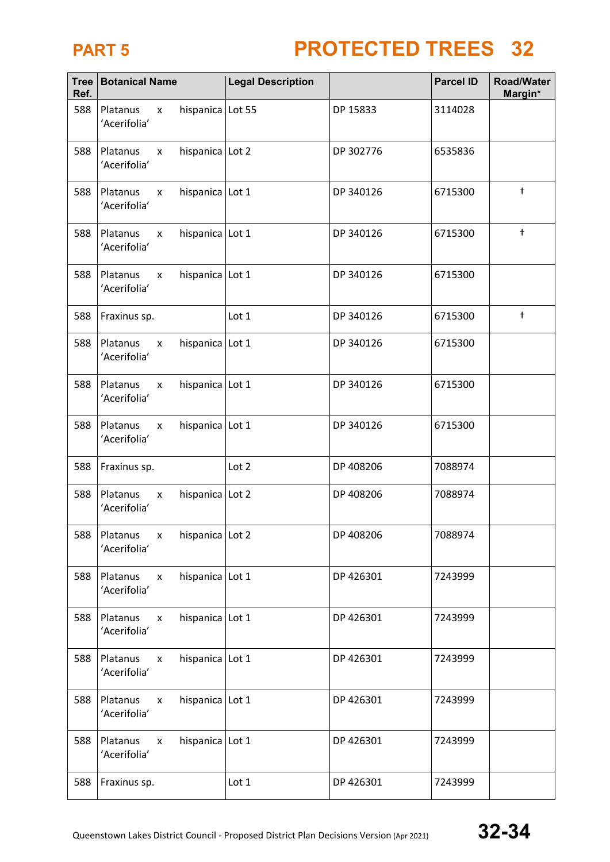| <b>Tree</b><br>Ref. | <b>Botanical Name</b>    |                                       | <b>Legal Description</b> |           | <b>Parcel ID</b> | <b>Road/Water</b><br>Margin* |
|---------------------|--------------------------|---------------------------------------|--------------------------|-----------|------------------|------------------------------|
| 588                 | Platanus<br>'Acerifolia' | hispanica Lot 55<br>$\mathsf{x}$      |                          | DP 15833  | 3114028          |                              |
| 588                 | Platanus<br>'Acerifolia' | hispanica Lot 2<br>X                  |                          | DP 302776 | 6535836          |                              |
| 588                 | Platanus<br>'Acerifolia' | hispanica Lot 1<br>X                  |                          | DP 340126 | 6715300          | $^\dagger$                   |
| 588                 | Platanus<br>'Acerifolia' | hispanica Lot 1<br>X                  |                          | DP 340126 | 6715300          | $\ddagger$                   |
| 588                 | Platanus<br>'Acerifolia' | hispanica Lot 1<br>x                  |                          | DP 340126 | 6715300          |                              |
| 588                 | Fraxinus sp.             |                                       | Lot 1                    | DP 340126 | 6715300          | $^\mathrm{+}$                |
| 588                 | Platanus<br>'Acerifolia' | hispanica Lot 1<br>X                  |                          | DP 340126 | 6715300          |                              |
| 588                 | Platanus<br>'Acerifolia' | hispanica Lot 1<br>X                  |                          | DP 340126 | 6715300          |                              |
| 588                 | Platanus<br>'Acerifolia' | hispanica Lot 1<br>X                  |                          | DP 340126 | 6715300          |                              |
| 588                 | Fraxinus sp.             |                                       | Lot 2                    | DP 408206 | 7088974          |                              |
| 588                 | Platanus<br>'Acerifolia' | hispanica Lot 2<br>x                  |                          | DP 408206 | 7088974          |                              |
| 588                 | Platanus<br>'Acerifolia' | hispanica Lot 2<br>X                  |                          | DP 408206 | 7088974          |                              |
| 588                 | Platanus<br>'Acerifolia' | hispanica Lot 1<br>X                  |                          | DP 426301 | 7243999          |                              |
| 588                 | Platanus<br>'Acerifolia' | hispanica Lot 1<br>X                  |                          | DP 426301 | 7243999          |                              |
| 588                 | Platanus<br>'Acerifolia' | hispanica Lot 1<br>X                  |                          | DP 426301 | 7243999          |                              |
| 588                 | Platanus<br>'Acerifolia' | hispanica Lot 1<br>$\pmb{\mathsf{X}}$ |                          | DP 426301 | 7243999          |                              |
| 588                 | Platanus<br>'Acerifolia' | hispanica Lot 1<br>X                  |                          | DP 426301 | 7243999          |                              |
| 588                 | Fraxinus sp.             |                                       | Lot 1                    | DP 426301 | 7243999          |                              |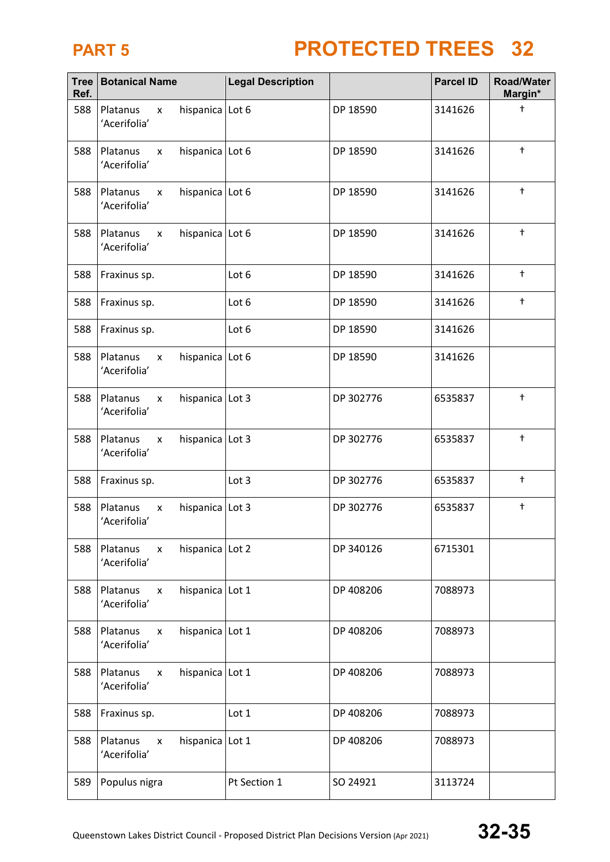| <b>Tree</b><br>Ref. | <b>Botanical Name</b>                                       | <b>Legal Description</b> |           | <b>Parcel ID</b> | <b>Road/Water</b><br>Margin* |
|---------------------|-------------------------------------------------------------|--------------------------|-----------|------------------|------------------------------|
| 588                 | Platanus<br>hispanica Lot 6<br>X<br>'Acerifolia'            |                          | DP 18590  | 3141626          | $\ddagger$                   |
| 588                 | Platanus<br>hispanica Lot 6<br>X<br>'Acerifolia'            |                          | DP 18590  | 3141626          | $^\mathrm{+}$                |
| 588                 | hispanica Lot 6<br>Platanus<br>X<br>'Acerifolia'            |                          | DP 18590  | 3141626          | $\ddagger$                   |
| 588                 | Platanus<br>hispanica Lot 6<br>X<br>'Acerifolia'            |                          | DP 18590  | 3141626          | $\ddagger$                   |
| 588                 | Fraxinus sp.                                                | Lot 6                    | DP 18590  | 3141626          | $^\mathrm{+}$                |
| 588                 | Fraxinus sp.                                                | Lot 6                    | DP 18590  | 3141626          | $^\mathrm{+}$                |
| 588                 | Fraxinus sp.                                                | Lot 6                    | DP 18590  | 3141626          |                              |
| 588                 | Platanus<br>hispanica Lot 6<br>x<br>'Acerifolia'            |                          | DP 18590  | 3141626          |                              |
| 588                 | hispanica Lot 3<br>Platanus<br>X<br>'Acerifolia'            |                          | DP 302776 | 6535837          | $^\mathrm{+}$                |
| 588                 | hispanica Lot 3<br>Platanus<br>X<br>'Acerifolia'            |                          | DP 302776 | 6535837          | $\ddagger$                   |
| 588                 | Fraxinus sp.                                                | Lot 3                    | DP 302776 | 6535837          | $\ddagger$                   |
| 588                 | hispanica Lot 3<br>Platanus<br>x<br>'Acerifolia'            |                          | DP 302776 | 6535837          | $^\mathrm{+}$                |
| 588                 | Platanus<br>hispanica Lot 2<br>$\mathsf{x}$<br>'Acerifolia' |                          | DP 340126 | 6715301          |                              |
| 588                 | Platanus<br>hispanica Lot 1<br>X<br>'Acerifolia'            |                          | DP 408206 | 7088973          |                              |
| 588                 | Platanus<br>hispanica Lot 1<br>X<br>'Acerifolia'            |                          | DP 408206 | 7088973          |                              |
| 588                 | Platanus<br>hispanica Lot 1<br>$\mathsf{x}$<br>'Acerifolia' |                          | DP 408206 | 7088973          |                              |
| 588                 | Fraxinus sp.                                                | Lot 1                    | DP 408206 | 7088973          |                              |
| 588                 | Platanus<br>hispanica Lot 1<br>X<br>'Acerifolia'            |                          | DP 408206 | 7088973          |                              |
| 589                 | Populus nigra                                               | Pt Section 1             | SO 24921  | 3113724          |                              |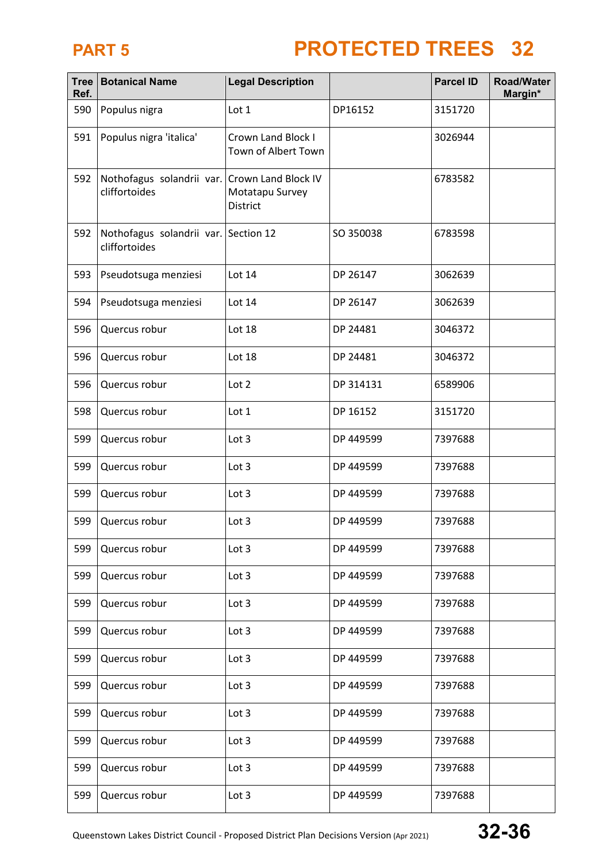| Ref. | Tree   Botanical Name                                 | <b>Legal Description</b>                                  |           | <b>Parcel ID</b> | <b>Road/Water</b><br>Margin* |
|------|-------------------------------------------------------|-----------------------------------------------------------|-----------|------------------|------------------------------|
| 590  | Populus nigra                                         | Lot 1                                                     | DP16152   | 3151720          |                              |
| 591  | Populus nigra 'italica'                               | Crown Land Block I<br>Town of Albert Town                 |           | 3026944          |                              |
| 592  | Nothofagus solandrii var.<br>cliffortoides            | Crown Land Block IV<br>Motatapu Survey<br><b>District</b> |           | 6783582          |                              |
| 592  | Nothofagus solandrii var. Section 12<br>cliffortoides |                                                           | SO 350038 | 6783598          |                              |
| 593  | Pseudotsuga menziesi                                  | Lot 14                                                    | DP 26147  | 3062639          |                              |
| 594  | Pseudotsuga menziesi                                  | Lot 14                                                    | DP 26147  | 3062639          |                              |
| 596  | Quercus robur                                         | Lot 18                                                    | DP 24481  | 3046372          |                              |
| 596  | Quercus robur                                         | Lot 18                                                    | DP 24481  | 3046372          |                              |
| 596  | Quercus robur                                         | Lot 2                                                     | DP 314131 | 6589906          |                              |
| 598  | Quercus robur                                         | Lot 1                                                     | DP 16152  | 3151720          |                              |
| 599  | Quercus robur                                         | Lot 3                                                     | DP 449599 | 7397688          |                              |
| 599  | Quercus robur                                         | Lot 3                                                     | DP 449599 | 7397688          |                              |
| 599  | Quercus robur                                         | Lot 3                                                     | DP 449599 | 7397688          |                              |
| 599  | Quercus robur                                         | Lot 3                                                     | DP 449599 | 7397688          |                              |
| 599  | Quercus robur                                         | Lot 3                                                     | DP 449599 | 7397688          |                              |
| 599  | Quercus robur                                         | Lot 3                                                     | DP 449599 | 7397688          |                              |
| 599  | Quercus robur                                         | Lot 3                                                     | DP 449599 | 7397688          |                              |
| 599  | Quercus robur                                         | Lot 3                                                     | DP 449599 | 7397688          |                              |
| 599  | Quercus robur                                         | Lot 3                                                     | DP 449599 | 7397688          |                              |
| 599  | Quercus robur                                         | Lot 3                                                     | DP 449599 | 7397688          |                              |
| 599  | Quercus robur                                         | Lot $3$                                                   | DP 449599 | 7397688          |                              |
| 599  | Quercus robur                                         | Lot 3                                                     | DP 449599 | 7397688          |                              |
| 599  | Quercus robur                                         | Lot $3$                                                   | DP 449599 | 7397688          |                              |
| 599  | Quercus robur                                         | Lot 3                                                     | DP 449599 | 7397688          |                              |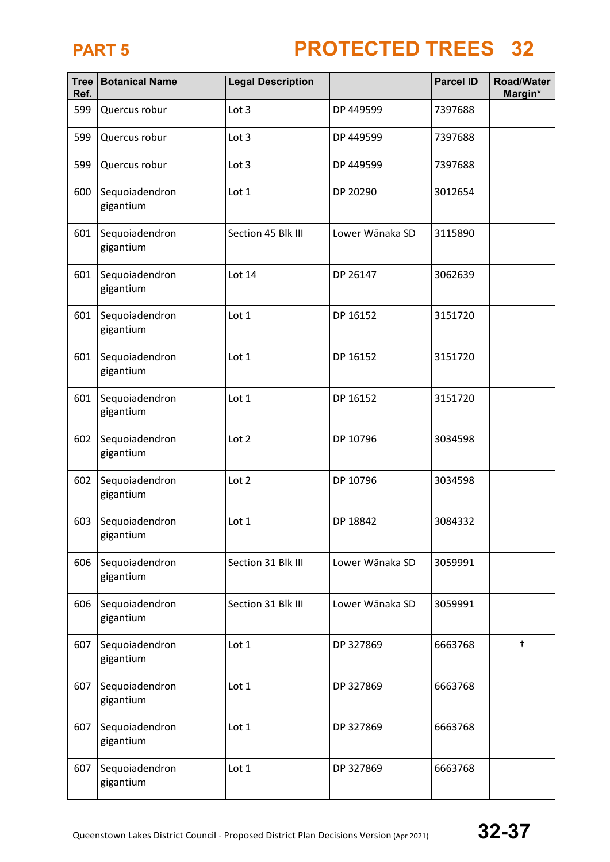| Tree<br>Ref. | <b>Botanical Name</b>       | <b>Legal Description</b> |                 | <b>Parcel ID</b> | <b>Road/Water</b><br>Margin* |
|--------------|-----------------------------|--------------------------|-----------------|------------------|------------------------------|
| 599          | Quercus robur               | Lot 3                    | DP 449599       | 7397688          |                              |
| 599          | Quercus robur               | Lot 3                    | DP 449599       | 7397688          |                              |
| 599          | Quercus robur               | Lot 3                    | DP 449599       | 7397688          |                              |
| 600          | Sequoiadendron<br>gigantium | Lot 1                    | DP 20290        | 3012654          |                              |
| 601          | Sequoiadendron<br>gigantium | Section 45 Blk III       | Lower Wānaka SD | 3115890          |                              |
| 601          | Sequoiadendron<br>gigantium | Lot 14                   | DP 26147        | 3062639          |                              |
| 601          | Sequoiadendron<br>gigantium | Lot 1                    | DP 16152        | 3151720          |                              |
| 601          | Sequoiadendron<br>gigantium | Lot 1                    | DP 16152        | 3151720          |                              |
| 601          | Sequoiadendron<br>gigantium | Lot 1                    | DP 16152        | 3151720          |                              |
| 602          | Sequoiadendron<br>gigantium | Lot 2                    | DP 10796        | 3034598          |                              |
| 602          | Sequoiadendron<br>gigantium | Lot 2                    | DP 10796        | 3034598          |                              |
| 603          | Sequoiadendron<br>gigantium | Lot 1                    | DP 18842        | 3084332          |                              |
| 606          | Sequoiadendron<br>gigantium | Section 31 Blk III       | Lower Wānaka SD | 3059991          |                              |
| 606          | Sequoiadendron<br>gigantium | Section 31 Blk III       | Lower Wānaka SD | 3059991          |                              |
| 607          | Sequoiadendron<br>gigantium | Lot 1                    | DP 327869       | 6663768          | $\ddagger$                   |
| 607          | Sequoiadendron<br>gigantium | Lot 1                    | DP 327869       | 6663768          |                              |
| 607          | Sequoiadendron<br>gigantium | Lot 1                    | DP 327869       | 6663768          |                              |
| 607          | Sequoiadendron<br>gigantium | Lot 1                    | DP 327869       | 6663768          |                              |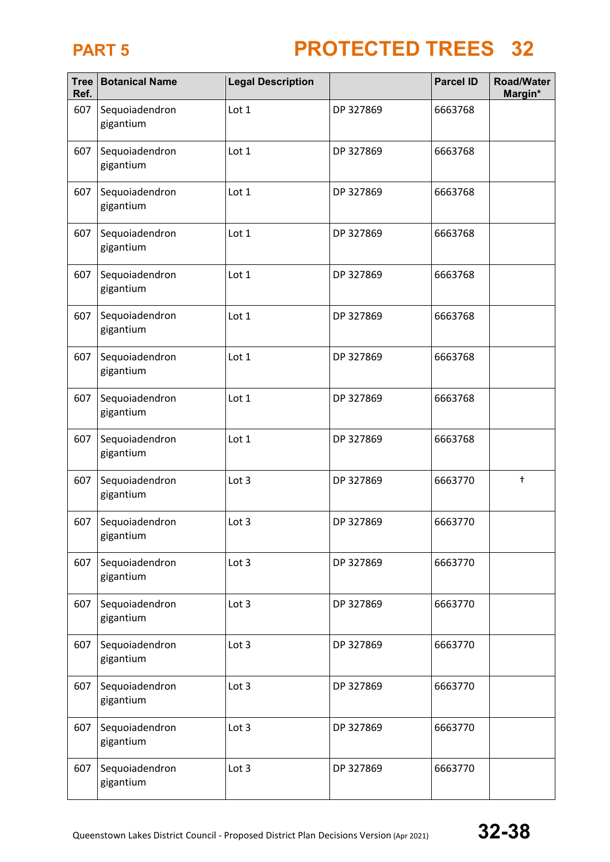| <b>Tree</b><br>Ref. | <b>Botanical Name</b>       | <b>Legal Description</b> |           | <b>Parcel ID</b> | <b>Road/Water</b><br>Margin* |
|---------------------|-----------------------------|--------------------------|-----------|------------------|------------------------------|
| 607                 | Sequoiadendron<br>gigantium | Lot 1                    | DP 327869 | 6663768          |                              |
| 607                 | Sequoiadendron<br>gigantium | Lot 1                    | DP 327869 | 6663768          |                              |
| 607                 | Sequoiadendron<br>gigantium | Lot 1                    | DP 327869 | 6663768          |                              |
| 607                 | Sequoiadendron<br>gigantium | Lot 1                    | DP 327869 | 6663768          |                              |
| 607                 | Sequoiadendron<br>gigantium | Lot 1                    | DP 327869 | 6663768          |                              |
| 607                 | Sequoiadendron<br>gigantium | Lot 1                    | DP 327869 | 6663768          |                              |
| 607                 | Sequoiadendron<br>gigantium | Lot 1                    | DP 327869 | 6663768          |                              |
| 607                 | Sequoiadendron<br>gigantium | Lot 1                    | DP 327869 | 6663768          |                              |
| 607                 | Sequoiadendron<br>gigantium | Lot 1                    | DP 327869 | 6663768          |                              |
| 607                 | Sequoiadendron<br>gigantium | Lot 3                    | DP 327869 | 6663770          | $\ddagger$                   |
| 607                 | Sequoiadendron<br>gigantium | Lot 3                    | DP 327869 | 6663770          |                              |
| 607                 | Sequoiadendron<br>gigantium | Lot 3                    | DP 327869 | 6663770          |                              |
| 607                 | Sequoiadendron<br>gigantium | Lot 3                    | DP 327869 | 6663770          |                              |
| 607                 | Sequoiadendron<br>gigantium | Lot 3                    | DP 327869 | 6663770          |                              |
| 607                 | Sequoiadendron<br>gigantium | Lot 3                    | DP 327869 | 6663770          |                              |
| 607                 | Sequoiadendron<br>gigantium | Lot 3                    | DP 327869 | 6663770          |                              |
| 607                 | Sequoiadendron<br>gigantium | Lot 3                    | DP 327869 | 6663770          |                              |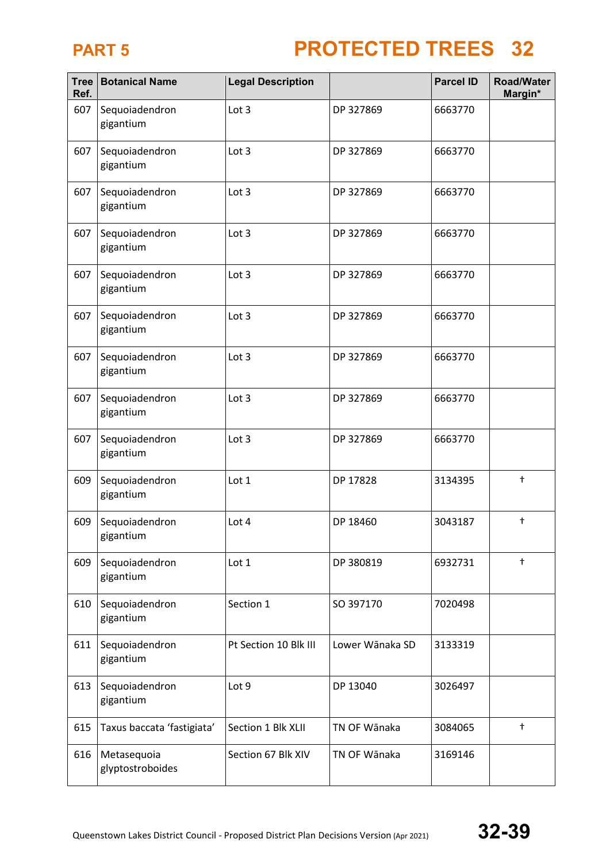| Tree<br>Ref. | <b>Botanical Name</b>           | <b>Legal Description</b> |                 | <b>Parcel ID</b> | <b>Road/Water</b><br>Margin* |
|--------------|---------------------------------|--------------------------|-----------------|------------------|------------------------------|
| 607          | Sequoiadendron<br>gigantium     | Lot 3                    | DP 327869       | 6663770          |                              |
| 607          | Sequoiadendron<br>gigantium     | Lot 3                    | DP 327869       | 6663770          |                              |
| 607          | Sequoiadendron<br>gigantium     | Lot 3                    | DP 327869       | 6663770          |                              |
| 607          | Sequoiadendron<br>gigantium     | Lot 3                    | DP 327869       | 6663770          |                              |
| 607          | Sequoiadendron<br>gigantium     | Lot 3                    | DP 327869       | 6663770          |                              |
| 607          | Sequoiadendron<br>gigantium     | Lot $3$                  | DP 327869       | 6663770          |                              |
| 607          | Sequoiadendron<br>gigantium     | Lot 3                    | DP 327869       | 6663770          |                              |
| 607          | Sequoiadendron<br>gigantium     | Lot 3                    | DP 327869       | 6663770          |                              |
| 607          | Sequoiadendron<br>gigantium     | Lot 3                    | DP 327869       | 6663770          |                              |
| 609          | Sequoiadendron<br>gigantium     | Lot 1                    | DP 17828        | 3134395          | $\ddagger$                   |
| 609          | Sequoiadendron<br>gigantium     | Lot 4                    | DP 18460        | 3043187          | $^\mathrm{+}$                |
| 609          | Sequoiadendron<br>gigantium     | Lot 1                    | DP 380819       | 6932731          | $\ddagger$                   |
| 610          | Sequoiadendron<br>gigantium     | Section 1                | SO 397170       | 7020498          |                              |
| 611          | Sequoiadendron<br>gigantium     | Pt Section 10 Blk III    | Lower Wānaka SD | 3133319          |                              |
| 613          | Sequoiadendron<br>gigantium     | Lot 9                    | DP 13040        | 3026497          |                              |
| 615          | Taxus baccata 'fastigiata'      | Section 1 Blk XLII       | TN OF Wānaka    | 3084065          | $^\mathrm{+}$                |
| 616          | Metasequoia<br>glyptostroboides | Section 67 Blk XIV       | TN OF Wānaka    | 3169146          |                              |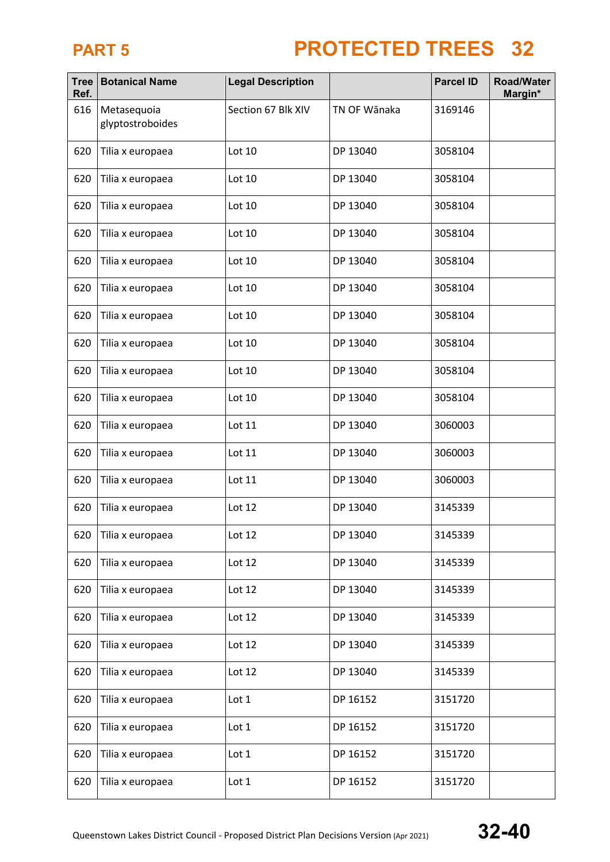| <b>Tree</b><br>Ref. | <b>Botanical Name</b>           | <b>Legal Description</b> |              | <b>Parcel ID</b> | <b>Road/Water</b><br>Margin* |
|---------------------|---------------------------------|--------------------------|--------------|------------------|------------------------------|
| 616                 | Metasequoia<br>glyptostroboides | Section 67 Blk XIV       | TN OF Wānaka | 3169146          |                              |
| 620                 | Tilia x europaea                | Lot 10                   | DP 13040     | 3058104          |                              |
| 620                 | Tilia x europaea                | Lot 10                   | DP 13040     | 3058104          |                              |
| 620                 | Tilia x europaea                | Lot 10                   | DP 13040     | 3058104          |                              |
| 620                 | Tilia x europaea                | Lot 10                   | DP 13040     | 3058104          |                              |
| 620                 | Tilia x europaea                | Lot 10                   | DP 13040     | 3058104          |                              |
| 620                 | Tilia x europaea                | Lot 10                   | DP 13040     | 3058104          |                              |
| 620                 | Tilia x europaea                | Lot 10                   | DP 13040     | 3058104          |                              |
| 620                 | Tilia x europaea                | Lot 10                   | DP 13040     | 3058104          |                              |
| 620                 | Tilia x europaea                | Lot 10                   | DP 13040     | 3058104          |                              |
| 620                 | Tilia x europaea                | Lot 10                   | DP 13040     | 3058104          |                              |
| 620                 | Tilia x europaea                | Lot 11                   | DP 13040     | 3060003          |                              |
| 620                 | Tilia x europaea                | Lot 11                   | DP 13040     | 3060003          |                              |
| 620                 | Tilia x europaea                | Lot 11                   | DP 13040     | 3060003          |                              |
| 620                 | Tilia x europaea                | Lot 12                   | DP 13040     | 3145339          |                              |
| 620                 | Tilia x europaea                | Lot 12                   | DP 13040     | 3145339          |                              |
| 620                 | Tilia x europaea                | Lot 12                   | DP 13040     | 3145339          |                              |
| 620                 | Tilia x europaea                | Lot 12                   | DP 13040     | 3145339          |                              |
| 620                 | Tilia x europaea                | Lot 12                   | DP 13040     | 3145339          |                              |
| 620                 | Tilia x europaea                | Lot 12                   | DP 13040     | 3145339          |                              |
| 620                 | Tilia x europaea                | Lot 12                   | DP 13040     | 3145339          |                              |
| 620                 | Tilia x europaea                | Lot 1                    | DP 16152     | 3151720          |                              |
| 620                 | Tilia x europaea                | Lot 1                    | DP 16152     | 3151720          |                              |
| 620                 | Tilia x europaea                | Lot 1                    | DP 16152     | 3151720          |                              |
| 620                 | Tilia x europaea                | Lot 1                    | DP 16152     | 3151720          |                              |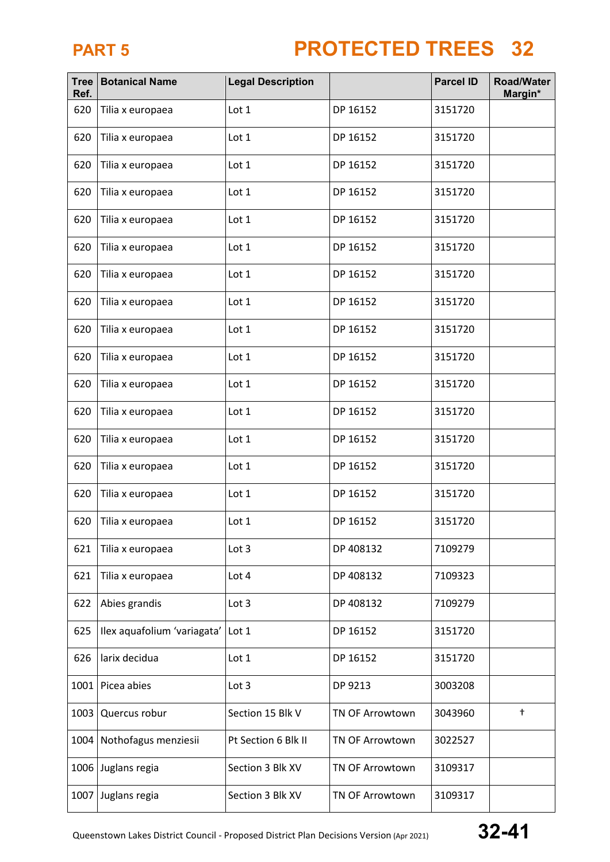| <b>Tree</b><br>Ref. | <b>Botanical Name</b>       | <b>Legal Description</b> |                        | <b>Parcel ID</b> | <b>Road/Water</b><br>Margin* |
|---------------------|-----------------------------|--------------------------|------------------------|------------------|------------------------------|
| 620                 | Tilia x europaea            | Lot 1                    | DP 16152               | 3151720          |                              |
| 620                 | Tilia x europaea            | Lot 1                    | DP 16152               | 3151720          |                              |
| 620                 | Tilia x europaea            | Lot 1                    | DP 16152               | 3151720          |                              |
| 620                 | Tilia x europaea            | Lot 1                    | DP 16152               | 3151720          |                              |
| 620                 | Tilia x europaea            | Lot 1                    | DP 16152               | 3151720          |                              |
| 620                 | Tilia x europaea            | Lot 1                    | DP 16152               | 3151720          |                              |
| 620                 | Tilia x europaea            | Lot 1                    | DP 16152               | 3151720          |                              |
| 620                 | Tilia x europaea            | Lot 1                    | DP 16152               | 3151720          |                              |
| 620                 | Tilia x europaea            | Lot 1                    | DP 16152               | 3151720          |                              |
| 620                 | Tilia x europaea            | Lot 1                    | DP 16152               | 3151720          |                              |
| 620                 | Tilia x europaea            | Lot 1                    | DP 16152               | 3151720          |                              |
| 620                 | Tilia x europaea            | Lot 1                    | DP 16152               | 3151720          |                              |
| 620                 | Tilia x europaea            | Lot 1                    | DP 16152               | 3151720          |                              |
| 620                 | Tilia x europaea            | Lot 1                    | DP 16152               | 3151720          |                              |
| 620                 | Tilia x europaea            | Lot 1                    | DP 16152               | 3151720          |                              |
| 620                 | Tilia x europaea            | Lot 1                    | DP 16152               | 3151720          |                              |
| 621                 | Tilia x europaea            | Lot 3                    | DP 408132              | 7109279          |                              |
| 621                 | Tilia x europaea            | Lot 4                    | DP 408132              | 7109323          |                              |
| 622                 | Abies grandis               | Lot 3                    | DP 408132              | 7109279          |                              |
| 625                 | Ilex aquafolium 'variagata' | Lot 1                    | DP 16152               | 3151720          |                              |
| 626                 | larix decidua               | Lot 1                    | DP 16152               | 3151720          |                              |
|                     | 1001 Picea abies            | Lot 3                    | DP 9213                | 3003208          |                              |
| 1003                | Quercus robur               | Section 15 Blk V         | <b>TN OF Arrowtown</b> | 3043960          | $^\dagger$                   |
| 1004                | Nothofagus menziesii        | Pt Section 6 Blk II      | TN OF Arrowtown        | 3022527          |                              |
| 1006                | Juglans regia               | Section 3 Blk XV         | <b>TN OF Arrowtown</b> | 3109317          |                              |
|                     | 1007 Juglans regia          | Section 3 Blk XV         | TN OF Arrowtown        | 3109317          |                              |